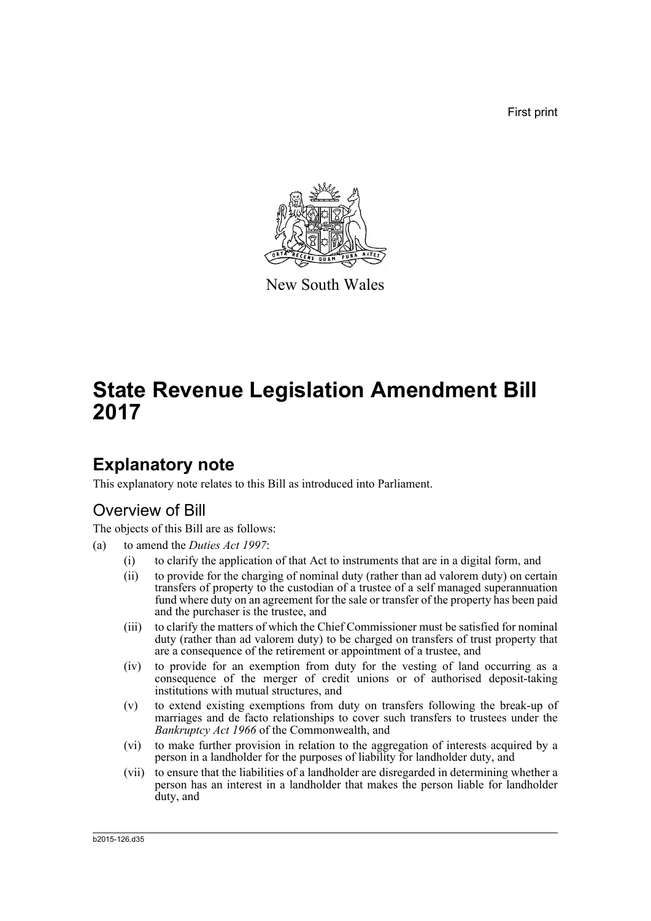First print



New South Wales

# **State Revenue Legislation Amendment Bill 2017**

# **Explanatory note**

This explanatory note relates to this Bill as introduced into Parliament.

# Overview of Bill

The objects of this Bill are as follows:

- (a) to amend the *Duties Act 1997*:
	- (i) to clarify the application of that Act to instruments that are in a digital form, and
	- (ii) to provide for the charging of nominal duty (rather than ad valorem duty) on certain transfers of property to the custodian of a trustee of a self managed superannuation fund where duty on an agreement for the sale or transfer of the property has been paid and the purchaser is the trustee, and
	- (iii) to clarify the matters of which the Chief Commissioner must be satisfied for nominal duty (rather than ad valorem duty) to be charged on transfers of trust property that are a consequence of the retirement or appointment of a trustee, and
	- (iv) to provide for an exemption from duty for the vesting of land occurring as a consequence of the merger of credit unions or of authorised deposit-taking institutions with mutual structures, and
	- (v) to extend existing exemptions from duty on transfers following the break-up of marriages and de facto relationships to cover such transfers to trustees under the *Bankruptcy Act 1966* of the Commonwealth, and
	- (vi) to make further provision in relation to the aggregation of interests acquired by a person in a landholder for the purposes of liability for landholder duty, and
	- (vii) to ensure that the liabilities of a landholder are disregarded in determining whether a person has an interest in a landholder that makes the person liable for landholder duty, and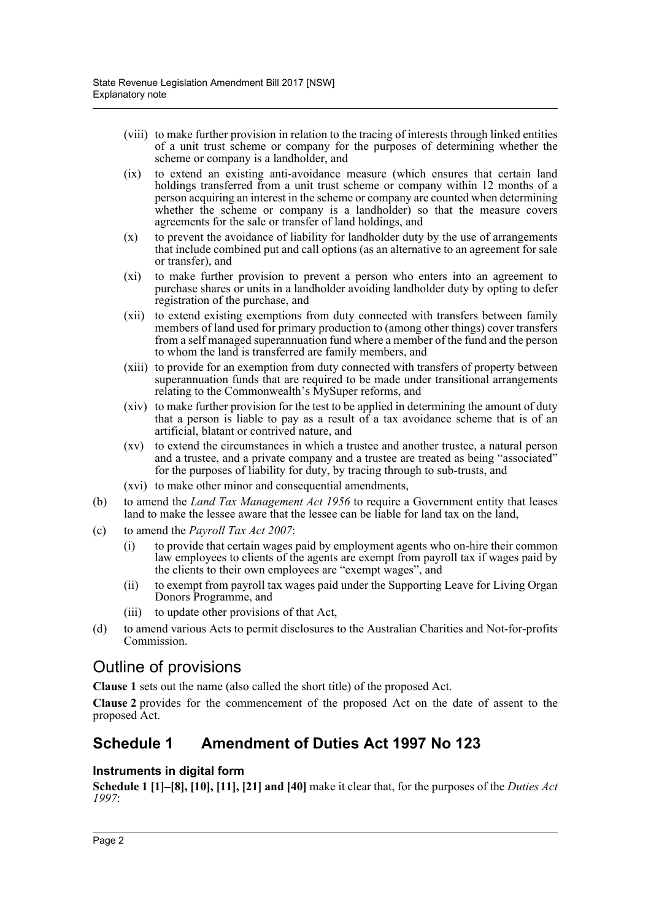- (viii) to make further provision in relation to the tracing of interests through linked entities of a unit trust scheme or company for the purposes of determining whether the scheme or company is a landholder, and
- (ix) to extend an existing anti-avoidance measure (which ensures that certain land holdings transferred from a unit trust scheme or company within 12 months of a person acquiring an interest in the scheme or company are counted when determining whether the scheme or company is a landholder) so that the measure covers agreements for the sale or transfer of land holdings, and
- (x) to prevent the avoidance of liability for landholder duty by the use of arrangements that include combined put and call options (as an alternative to an agreement for sale or transfer), and
- (xi) to make further provision to prevent a person who enters into an agreement to purchase shares or units in a landholder avoiding landholder duty by opting to defer registration of the purchase, and
- (xii) to extend existing exemptions from duty connected with transfers between family members of land used for primary production to (among other things) cover transfers from a self managed superannuation fund where a member of the fund and the person to whom the land is transferred are family members, and
- (xiii) to provide for an exemption from duty connected with transfers of property between superannuation funds that are required to be made under transitional arrangements relating to the Commonwealth's MySuper reforms, and
- (xiv) to make further provision for the test to be applied in determining the amount of duty that a person is liable to pay as a result of a tax avoidance scheme that is of an artificial, blatant or contrived nature, and
- (xv) to extend the circumstances in which a trustee and another trustee, a natural person and a trustee, and a private company and a trustee are treated as being "associated" for the purposes of liability for duty, by tracing through to sub-trusts, and
- (xvi) to make other minor and consequential amendments,
- (b) to amend the *Land Tax Management Act 1956* to require a Government entity that leases land to make the lessee aware that the lessee can be liable for land tax on the land,
- (c) to amend the *Payroll Tax Act 2007*:
	- (i) to provide that certain wages paid by employment agents who on-hire their common law employees to clients of the agents are exempt from payroll tax if wages paid by the clients to their own employees are "exempt wages", and
	- (ii) to exempt from payroll tax wages paid under the Supporting Leave for Living Organ Donors Programme, and
	- (iii) to update other provisions of that Act,
- (d) to amend various Acts to permit disclosures to the Australian Charities and Not-for-profits Commission.

# Outline of provisions

**Clause 1** sets out the name (also called the short title) of the proposed Act.

**Clause 2** provides for the commencement of the proposed Act on the date of assent to the proposed Act.

# **Schedule 1 Amendment of Duties Act 1997 No 123**

## **Instruments in digital form**

**Schedule 1 [1]–[8], [10], [11], [21] and [40]** make it clear that, for the purposes of the *Duties Act 1997*: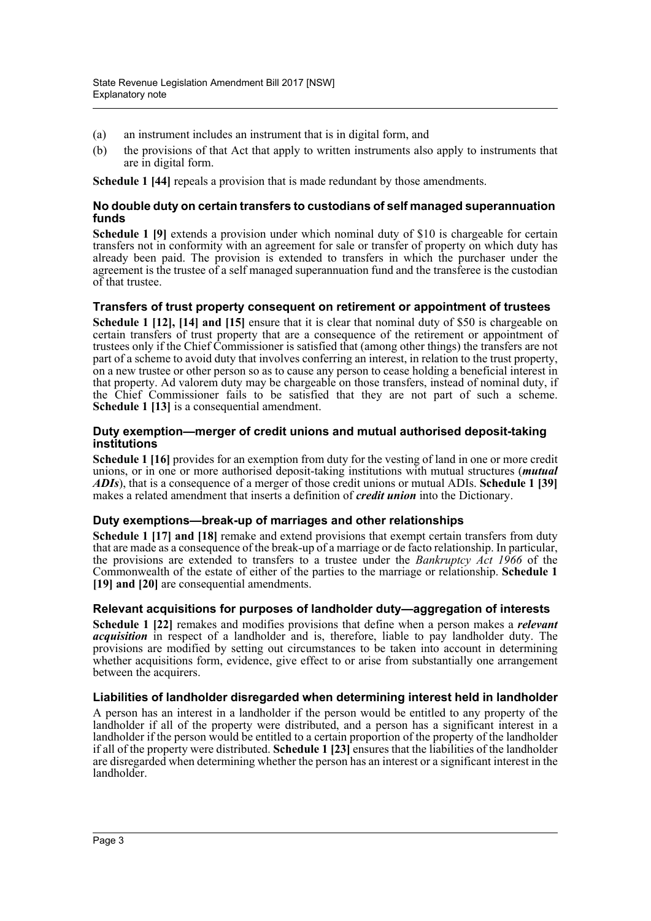- (a) an instrument includes an instrument that is in digital form, and
- (b) the provisions of that Act that apply to written instruments also apply to instruments that are in digital form.

**Schedule 1 [44]** repeals a provision that is made redundant by those amendments.

#### **No double duty on certain transfers to custodians of self managed superannuation funds**

**Schedule 1 [9]** extends a provision under which nominal duty of \$10 is chargeable for certain transfers not in conformity with an agreement for sale or transfer of property on which duty has already been paid. The provision is extended to transfers in which the purchaser under the agreement is the trustee of a self managed superannuation fund and the transferee is the custodian of that trustee.

### **Transfers of trust property consequent on retirement or appointment of trustees**

**Schedule 1 [12], [14] and [15]** ensure that it is clear that nominal duty of \$50 is chargeable on certain transfers of trust property that are a consequence of the retirement or appointment of trustees only if the Chief Commissioner is satisfied that (among other things) the transfers are not part of a scheme to avoid duty that involves conferring an interest, in relation to the trust property, on a new trustee or other person so as to cause any person to cease holding a beneficial interest in that property. Ad valorem duty may be chargeable on those transfers, instead of nominal duty, if the Chief Commissioner fails to be satisfied that they are not part of such a scheme. **Schedule 1 [13]** is a consequential amendment.

#### **Duty exemption—merger of credit unions and mutual authorised deposit-taking institutions**

**Schedule 1 [16]** provides for an exemption from duty for the vesting of land in one or more credit unions, or in one or more authorised deposit-taking institutions with mutual structures (*mutual ADIs*), that is a consequence of a merger of those credit unions or mutual ADIs. **Schedule 1 [39]** makes a related amendment that inserts a definition of *credit union* into the Dictionary.

## **Duty exemptions—break-up of marriages and other relationships**

**Schedule 1 [17] and [18]** remake and extend provisions that exempt certain transfers from duty that are made as a consequence of the break-up of a marriage or de facto relationship. In particular, the provisions are extended to transfers to a trustee under the *Bankruptcy Act 1966* of the Commonwealth of the estate of either of the parties to the marriage or relationship. **Schedule 1 [19] and [20]** are consequential amendments.

## **Relevant acquisitions for purposes of landholder duty—aggregation of interests**

**Schedule 1 [22]** remakes and modifies provisions that define when a person makes a *relevant acquisition* in respect of a landholder and is, therefore, liable to pay landholder duty. The provisions are modified by setting out circumstances to be taken into account in determining whether acquisitions form, evidence, give effect to or arise from substantially one arrangement between the acquirers.

## **Liabilities of landholder disregarded when determining interest held in landholder**

A person has an interest in a landholder if the person would be entitled to any property of the landholder if all of the property were distributed, and a person has a significant interest in a landholder if the person would be entitled to a certain proportion of the property of the landholder if all of the property were distributed. **Schedule 1 [23]** ensures that the liabilities of the landholder are disregarded when determining whether the person has an interest or a significant interest in the landholder.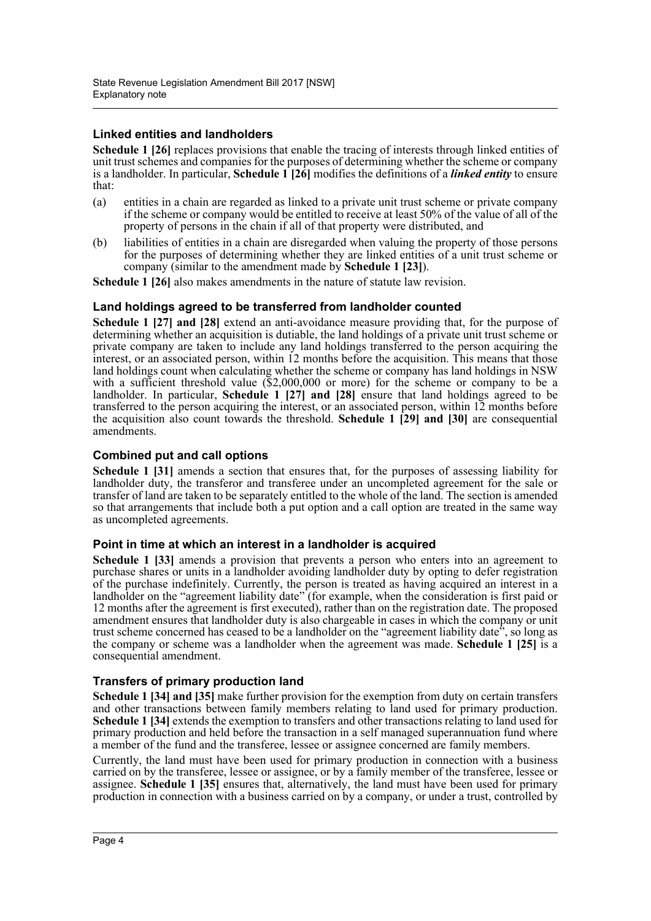# **Linked entities and landholders**

**Schedule 1 [26]** replaces provisions that enable the tracing of interests through linked entities of unit trust schemes and companies for the purposes of determining whether the scheme or company is a landholder. In particular, **Schedule 1 [26]** modifies the definitions of a *linked entity* to ensure that:

- (a) entities in a chain are regarded as linked to a private unit trust scheme or private company if the scheme or company would be entitled to receive at least 50% of the value of all of the property of persons in the chain if all of that property were distributed, and
- (b) liabilities of entities in a chain are disregarded when valuing the property of those persons for the purposes of determining whether they are linked entities of a unit trust scheme or company (similar to the amendment made by **Schedule 1 [23]**).

**Schedule 1 [26]** also makes amendments in the nature of statute law revision.

### **Land holdings agreed to be transferred from landholder counted**

**Schedule 1 [27] and [28]** extend an anti-avoidance measure providing that, for the purpose of determining whether an acquisition is dutiable, the land holdings of a private unit trust scheme or private company are taken to include any land holdings transferred to the person acquiring the interest, or an associated person, within 12 months before the acquisition. This means that those land holdings count when calculating whether the scheme or company has land holdings in NSW with a sufficient threshold value (\$2,000,000 or more) for the scheme or company to be a landholder. In particular, **Schedule 1 [27] and [28]** ensure that land holdings agreed to be transferred to the person acquiring the interest, or an associated person, within 12 months before the acquisition also count towards the threshold. **Schedule 1 [29] and [30]** are consequential amendments.

## **Combined put and call options**

**Schedule 1 [31]** amends a section that ensures that, for the purposes of assessing liability for landholder duty, the transferor and transferee under an uncompleted agreement for the sale or transfer of land are taken to be separately entitled to the whole of the land. The section is amended so that arrangements that include both a put option and a call option are treated in the same way as uncompleted agreements.

## **Point in time at which an interest in a landholder is acquired**

**Schedule 1 [33]** amends a provision that prevents a person who enters into an agreement to purchase shares or units in a landholder avoiding landholder duty by opting to defer registration of the purchase indefinitely. Currently, the person is treated as having acquired an interest in a landholder on the "agreement liability date" (for example, when the consideration is first paid or 12 months after the agreement is first executed), rather than on the registration date. The proposed amendment ensures that landholder duty is also chargeable in cases in which the company or unit trust scheme concerned has ceased to be a landholder on the "agreement liability date", so long as the company or scheme was a landholder when the agreement was made. **Schedule 1 [25]** is a consequential amendment.

## **Transfers of primary production land**

**Schedule 1 [34] and [35]** make further provision for the exemption from duty on certain transfers and other transactions between family members relating to land used for primary production. **Schedule 1 [34]** extends the exemption to transfers and other transactions relating to land used for primary production and held before the transaction in a self managed superannuation fund where a member of the fund and the transferee, lessee or assignee concerned are family members.

Currently, the land must have been used for primary production in connection with a business carried on by the transferee, lessee or assignee, or by a family member of the transferee, lessee or assignee. **Schedule 1 [35]** ensures that, alternatively, the land must have been used for primary production in connection with a business carried on by a company, or under a trust, controlled by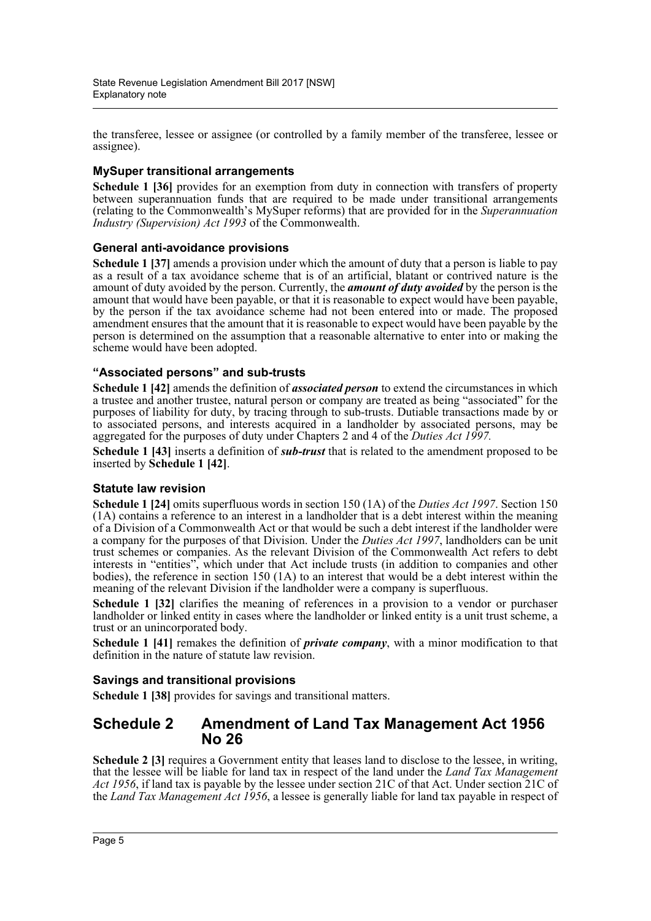the transferee, lessee or assignee (or controlled by a family member of the transferee, lessee or assignee).

# **MySuper transitional arrangements**

**Schedule 1 [36]** provides for an exemption from duty in connection with transfers of property between superannuation funds that are required to be made under transitional arrangements (relating to the Commonwealth's MySuper reforms) that are provided for in the *Superannuation Industry (Supervision) Act 1993* of the Commonwealth.

## **General anti-avoidance provisions**

**Schedule 1 [37]** amends a provision under which the amount of duty that a person is liable to pay as a result of a tax avoidance scheme that is of an artificial, blatant or contrived nature is the amount of duty avoided by the person. Currently, the *amount of duty avoided* by the person is the amount that would have been payable, or that it is reasonable to expect would have been payable, by the person if the tax avoidance scheme had not been entered into or made. The proposed amendment ensures that the amount that it is reasonable to expect would have been payable by the person is determined on the assumption that a reasonable alternative to enter into or making the scheme would have been adopted.

## **"Associated persons" and sub-trusts**

**Schedule 1 [42]** amends the definition of *associated person* to extend the circumstances in which a trustee and another trustee, natural person or company are treated as being "associated" for the purposes of liability for duty, by tracing through to sub-trusts. Dutiable transactions made by or to associated persons, and interests acquired in a landholder by associated persons, may be aggregated for the purposes of duty under Chapters 2 and 4 of the *Duties Act 1997.*

**Schedule 1 [43]** inserts a definition of *sub-trust* that is related to the amendment proposed to be inserted by **Schedule 1 [42]**.

## **Statute law revision**

**Schedule 1 [24]** omits superfluous words in section 150 (1A) of the *Duties Act 1997*. Section 150 (1A) contains a reference to an interest in a landholder that is a debt interest within the meaning of a Division of a Commonwealth Act or that would be such a debt interest if the landholder were a company for the purposes of that Division. Under the *Duties Act 1997*, landholders can be unit trust schemes or companies. As the relevant Division of the Commonwealth Act refers to debt interests in "entities", which under that Act include trusts (in addition to companies and other bodies), the reference in section 150 (1A) to an interest that would be a debt interest within the meaning of the relevant Division if the landholder were a company is superfluous.

**Schedule 1 [32]** clarifies the meaning of references in a provision to a vendor or purchaser landholder or linked entity in cases where the landholder or linked entity is a unit trust scheme, a trust or an unincorporated body.

**Schedule 1 [41]** remakes the definition of *private company*, with a minor modification to that definition in the nature of statute law revision.

#### **Savings and transitional provisions**

**Schedule 1 [38]** provides for savings and transitional matters.

# **Schedule 2 Amendment of Land Tax Management Act 1956 No 26**

**Schedule 2 [3]** requires a Government entity that leases land to disclose to the lessee, in writing, that the lessee will be liable for land tax in respect of the land under the *Land Tax Management Act 1956*, if land tax is payable by the lessee under section 21C of that Act. Under section 21C of the *Land Tax Management Act 1956*, a lessee is generally liable for land tax payable in respect of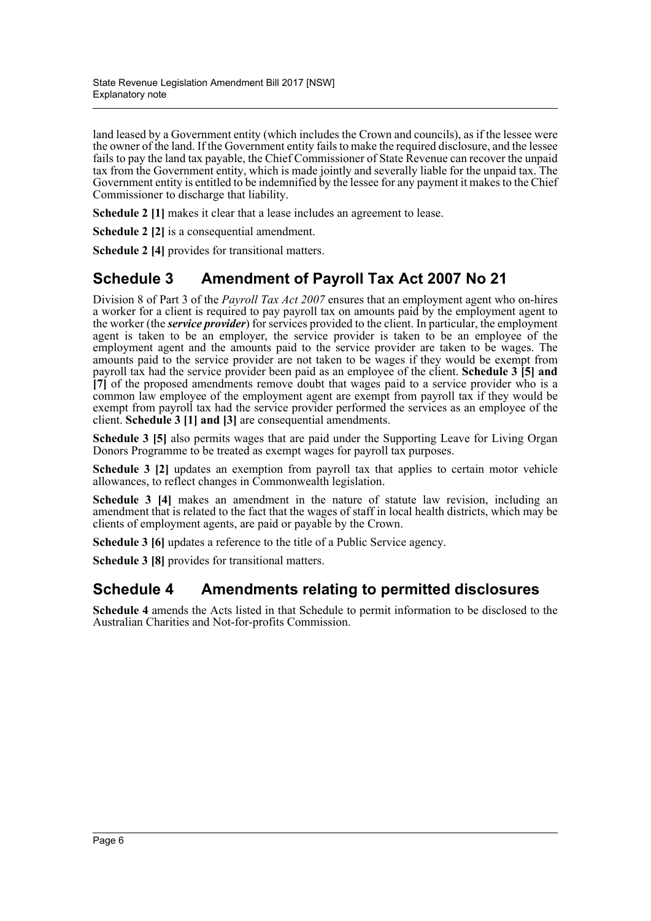land leased by a Government entity (which includes the Crown and councils), as if the lessee were the owner of the land. If the Government entity fails to make the required disclosure, and the lessee fails to pay the land tax payable, the Chief Commissioner of State Revenue can recover the unpaid tax from the Government entity, which is made jointly and severally liable for the unpaid tax. The Government entity is entitled to be indemnified by the lessee for any payment it makes to the Chief Commissioner to discharge that liability.

**Schedule 2 [1]** makes it clear that a lease includes an agreement to lease.

**Schedule 2 [2]** is a consequential amendment.

**Schedule 2 [4]** provides for transitional matters.

# **Schedule 3 Amendment of Payroll Tax Act 2007 No 21**

Division 8 of Part 3 of the *Payroll Tax Act 2007* ensures that an employment agent who on-hires a worker for a client is required to pay payroll tax on amounts paid by the employment agent to the worker (the *service provider*) for services provided to the client. In particular, the employment agent is taken to be an employer, the service provider is taken to be an employee of the employment agent and the amounts paid to the service provider are taken to be wages. The amounts paid to the service provider are not taken to be wages if they would be exempt from payroll tax had the service provider been paid as an employee of the client. **Schedule 3 [5] and [7]** of the proposed amendments remove doubt that wages paid to a service provider who is a common law employee of the employment agent are exempt from payroll tax if they would be exempt from payroll tax had the service provider performed the services as an employee of the client. **Schedule 3 [1] and [3]** are consequential amendments.

**Schedule 3 [5]** also permits wages that are paid under the Supporting Leave for Living Organ Donors Programme to be treated as exempt wages for payroll tax purposes.

**Schedule 3 [2]** updates an exemption from payroll tax that applies to certain motor vehicle allowances, to reflect changes in Commonwealth legislation.

**Schedule 3 [4]** makes an amendment in the nature of statute law revision, including an amendment that is related to the fact that the wages of staff in local health districts, which may be clients of employment agents, are paid or payable by the Crown.

**Schedule 3 [6]** updates a reference to the title of a Public Service agency.

**Schedule 3 [8]** provides for transitional matters.

# **Schedule 4 Amendments relating to permitted disclosures**

**Schedule 4** amends the Acts listed in that Schedule to permit information to be disclosed to the Australian Charities and Not-for-profits Commission.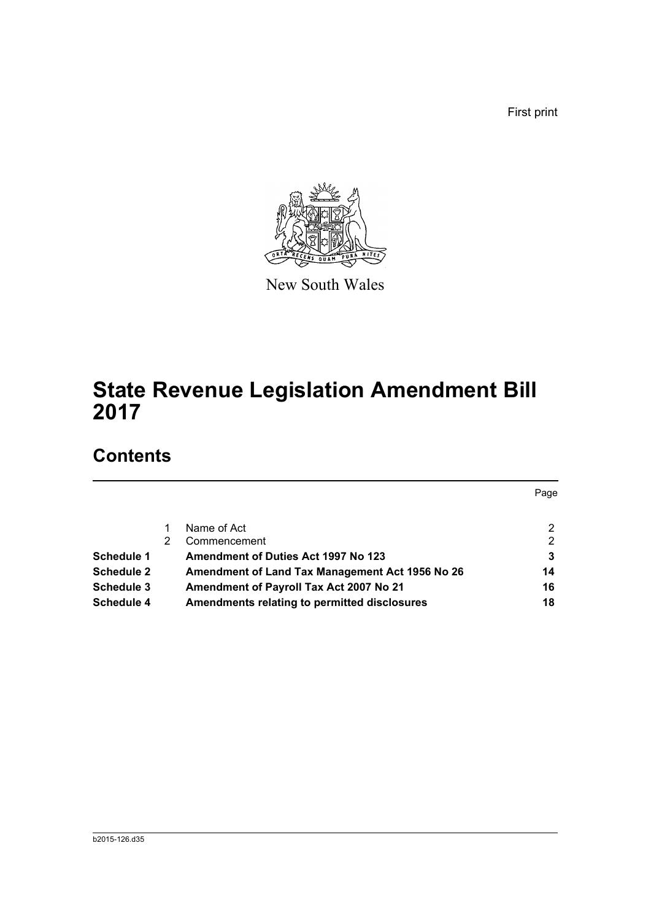First print



New South Wales

# **State Revenue Legislation Amendment Bill 2017**

# **Contents**

|                   |   |                                                 | Page |
|-------------------|---|-------------------------------------------------|------|
|                   |   | Name of Act                                     | 2    |
|                   | 2 | Commencement                                    | 2    |
| <b>Schedule 1</b> |   | Amendment of Duties Act 1997 No 123             | 3    |
| <b>Schedule 2</b> |   | Amendment of Land Tax Management Act 1956 No 26 | 14   |
| <b>Schedule 3</b> |   | Amendment of Payroll Tax Act 2007 No 21         | 16   |
| <b>Schedule 4</b> |   | Amendments relating to permitted disclosures    | 18   |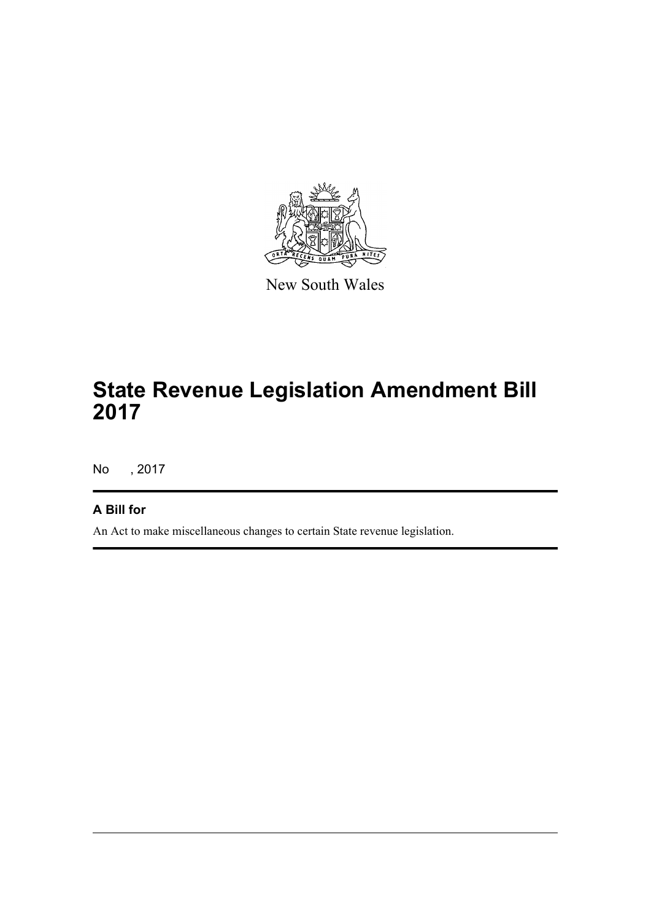

New South Wales

# **State Revenue Legislation Amendment Bill 2017**

No , 2017

# **A Bill for**

An Act to make miscellaneous changes to certain State revenue legislation.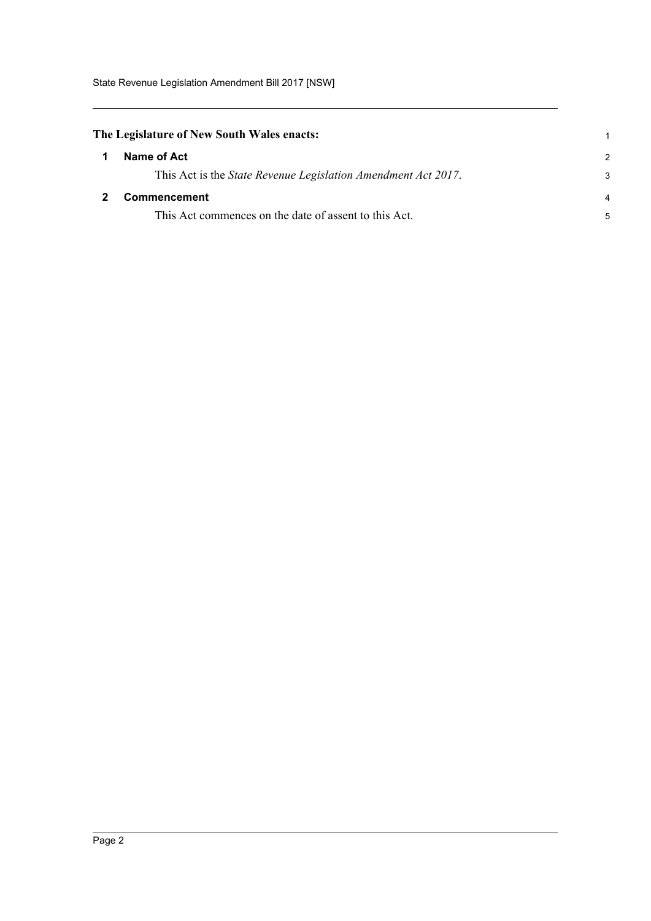# <span id="page-8-0"></span>**The Legislature of New South Wales enacts:**

<span id="page-8-1"></span>

| -1           | Name of Act                                                   | 2              |
|--------------|---------------------------------------------------------------|----------------|
|              | This Act is the State Revenue Legislation Amendment Act 2017. | 3              |
| $\mathbf{2}$ | <b>Commencement</b>                                           | $\overline{4}$ |
|              | This Act commences on the date of assent to this Act.         |                |

1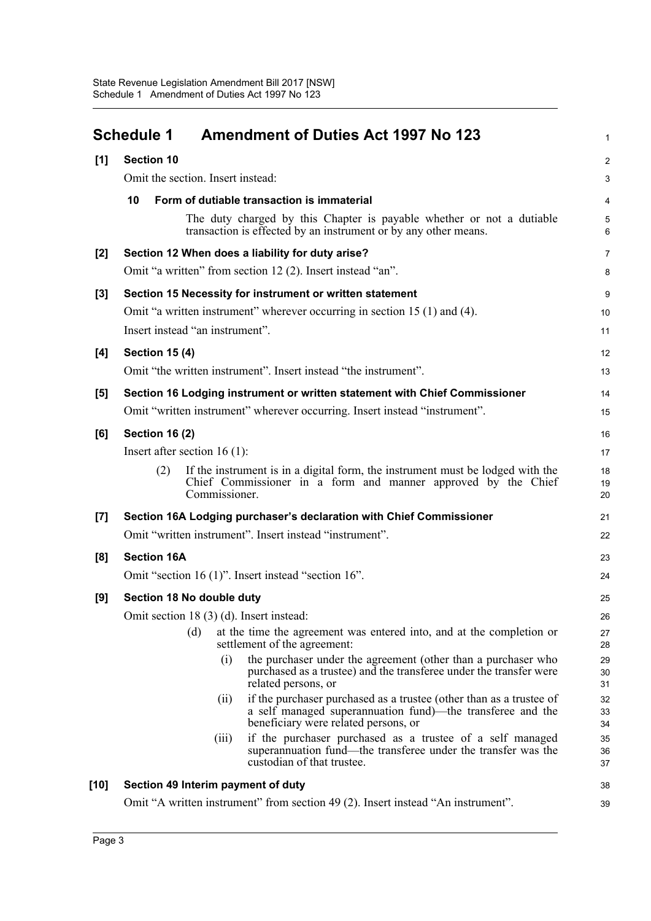<span id="page-9-0"></span>

|       | <b>Schedule 1</b>                                                          | <b>Amendment of Duties Act 1997 No 123</b>                                                                                                                                        | $\mathbf{1}$   |  |  |  |  |
|-------|----------------------------------------------------------------------------|-----------------------------------------------------------------------------------------------------------------------------------------------------------------------------------|----------------|--|--|--|--|
| [1]   | <b>Section 10</b>                                                          |                                                                                                                                                                                   | 2              |  |  |  |  |
|       |                                                                            | Omit the section. Insert instead:                                                                                                                                                 |                |  |  |  |  |
|       | 10                                                                         | Form of dutiable transaction is immaterial                                                                                                                                        | 4              |  |  |  |  |
|       |                                                                            | The duty charged by this Chapter is payable whether or not a dutiable<br>transaction is effected by an instrument or by any other means.                                          | 5<br>6         |  |  |  |  |
| $[2]$ |                                                                            | Section 12 When does a liability for duty arise?                                                                                                                                  | $\overline{7}$ |  |  |  |  |
|       |                                                                            | Omit "a written" from section 12 (2). Insert instead "an".                                                                                                                        | 8              |  |  |  |  |
| $[3]$ |                                                                            | Section 15 Necessity for instrument or written statement                                                                                                                          | 9              |  |  |  |  |
|       |                                                                            | Omit "a written instrument" wherever occurring in section 15 (1) and (4).                                                                                                         | 10             |  |  |  |  |
|       | Insert instead "an instrument".                                            |                                                                                                                                                                                   | 11             |  |  |  |  |
| [4]   | <b>Section 15 (4)</b>                                                      |                                                                                                                                                                                   | 12             |  |  |  |  |
|       |                                                                            | Omit "the written instrument". Insert instead "the instrument".                                                                                                                   | 13             |  |  |  |  |
| [5]   |                                                                            | Section 16 Lodging instrument or written statement with Chief Commissioner                                                                                                        | 14             |  |  |  |  |
|       | Omit "written instrument" wherever occurring. Insert instead "instrument". |                                                                                                                                                                                   |                |  |  |  |  |
| [6]   | <b>Section 16 (2)</b>                                                      |                                                                                                                                                                                   | 16             |  |  |  |  |
|       | Insert after section $16(1)$ :                                             |                                                                                                                                                                                   | 17             |  |  |  |  |
|       | (2)                                                                        | If the instrument is in a digital form, the instrument must be lodged with the<br>Chief Commissioner in a form and manner approved by the Chief<br>Commissioner.                  | 18<br>19<br>20 |  |  |  |  |
| [7]   |                                                                            | Section 16A Lodging purchaser's declaration with Chief Commissioner                                                                                                               | 21             |  |  |  |  |
|       |                                                                            | Omit "written instrument". Insert instead "instrument".                                                                                                                           | 22             |  |  |  |  |
| [8]   | <b>Section 16A</b>                                                         |                                                                                                                                                                                   | 23             |  |  |  |  |
|       |                                                                            | Omit "section 16 (1)". Insert instead "section 16".                                                                                                                               | 24             |  |  |  |  |
| [9]   | Section 18 No double duty                                                  |                                                                                                                                                                                   | 25             |  |  |  |  |
|       |                                                                            | Omit section 18 (3) (d). Insert instead:                                                                                                                                          | $26\,$         |  |  |  |  |
|       | (d)                                                                        | at the time the agreement was entered into, and at the completion or<br>settlement of the agreement:                                                                              | 27<br>28       |  |  |  |  |
|       |                                                                            | the purchaser under the agreement (other than a purchaser who<br>(i)<br>purchased as a trustee) and the transferee under the transfer were<br>related persons, or                 | 29<br>30<br>31 |  |  |  |  |
|       |                                                                            | if the purchaser purchased as a trustee (other than as a trustee of<br>(ii)<br>a self managed superannuation fund)—the transferee and the<br>beneficiary were related persons, or | 32<br>33<br>34 |  |  |  |  |
|       |                                                                            | if the purchaser purchased as a trustee of a self managed<br>(iii)<br>superannuation fund—the transferee under the transfer was the<br>custodian of that trustee.                 | 35<br>36<br>37 |  |  |  |  |
| [10]  |                                                                            | Section 49 Interim payment of duty                                                                                                                                                | 38             |  |  |  |  |
|       |                                                                            | Omit "A written instrument" from section 49 (2). Insert instead "An instrument".                                                                                                  | 39             |  |  |  |  |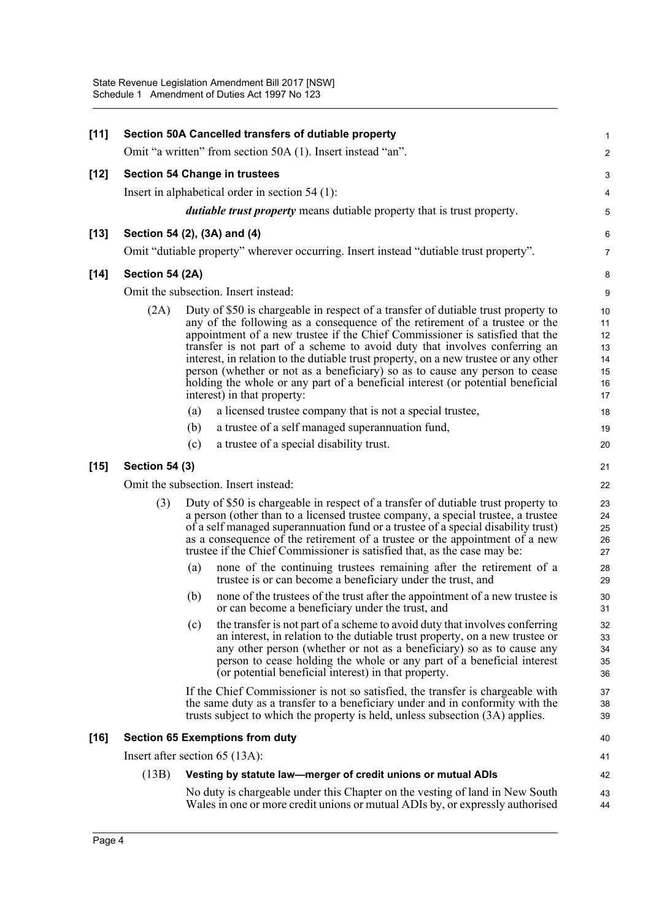| $[11]$ | Section 50A Cancelled transfers of dutiable property |     |                                                                                                                                                                                                                                                                                                                                                                                                                                                                                                                                                                                                                        |                                              |  |
|--------|------------------------------------------------------|-----|------------------------------------------------------------------------------------------------------------------------------------------------------------------------------------------------------------------------------------------------------------------------------------------------------------------------------------------------------------------------------------------------------------------------------------------------------------------------------------------------------------------------------------------------------------------------------------------------------------------------|----------------------------------------------|--|
|        |                                                      |     | Omit "a written" from section 50A (1). Insert instead "an".                                                                                                                                                                                                                                                                                                                                                                                                                                                                                                                                                            | 2                                            |  |
| $[12]$ |                                                      |     | <b>Section 54 Change in trustees</b>                                                                                                                                                                                                                                                                                                                                                                                                                                                                                                                                                                                   | 3                                            |  |
|        |                                                      |     | Insert in alphabetical order in section $54(1)$ :                                                                                                                                                                                                                                                                                                                                                                                                                                                                                                                                                                      | 4                                            |  |
|        |                                                      |     | <i>dutiable trust property</i> means dutiable property that is trust property.                                                                                                                                                                                                                                                                                                                                                                                                                                                                                                                                         | 5                                            |  |
| $[13]$ | Section 54 (2), (3A) and (4)                         |     |                                                                                                                                                                                                                                                                                                                                                                                                                                                                                                                                                                                                                        | 6                                            |  |
|        |                                                      |     | Omit "dutiable property" wherever occurring. Insert instead "dutiable trust property".                                                                                                                                                                                                                                                                                                                                                                                                                                                                                                                                 | $\overline{7}$                               |  |
| $[14]$ | Section 54 (2A)                                      |     |                                                                                                                                                                                                                                                                                                                                                                                                                                                                                                                                                                                                                        | 8                                            |  |
|        |                                                      |     | Omit the subsection. Insert instead:                                                                                                                                                                                                                                                                                                                                                                                                                                                                                                                                                                                   | 9                                            |  |
|        | (2A)                                                 |     | Duty of \$50 is chargeable in respect of a transfer of dutiable trust property to<br>any of the following as a consequence of the retirement of a trustee or the<br>appointment of a new trustee if the Chief Commissioner is satisfied that the<br>transfer is not part of a scheme to avoid duty that involves conferring an<br>interest, in relation to the dutiable trust property, on a new trustee or any other<br>person (whether or not as a beneficiary) so as to cause any person to cease<br>holding the whole or any part of a beneficial interest (or potential beneficial<br>interest) in that property: | 10<br>11<br>12<br>13<br>14<br>15<br>16<br>17 |  |
|        |                                                      | (a) | a licensed trustee company that is not a special trustee,                                                                                                                                                                                                                                                                                                                                                                                                                                                                                                                                                              | 18                                           |  |
|        |                                                      | (b) | a trustee of a self managed superannuation fund,                                                                                                                                                                                                                                                                                                                                                                                                                                                                                                                                                                       | 19                                           |  |
|        |                                                      | (c) | a trustee of a special disability trust.                                                                                                                                                                                                                                                                                                                                                                                                                                                                                                                                                                               | 20                                           |  |
| $[15]$ | <b>Section 54 (3)</b>                                |     |                                                                                                                                                                                                                                                                                                                                                                                                                                                                                                                                                                                                                        | 21                                           |  |
|        |                                                      |     | Omit the subsection. Insert instead:                                                                                                                                                                                                                                                                                                                                                                                                                                                                                                                                                                                   | 22                                           |  |
|        | (3)                                                  |     | Duty of \$50 is chargeable in respect of a transfer of dutiable trust property to<br>a person (other than to a licensed trustee company, a special trustee, a trustee<br>of a self managed superannuation fund or a trustee of a special disability trust)<br>as a consequence of the retirement of a trustee or the appointment of a new<br>trustee if the Chief Commissioner is satisfied that, as the case may be:                                                                                                                                                                                                  | 23<br>24<br>25<br>26<br>27                   |  |
|        |                                                      | (a) | none of the continuing trustees remaining after the retirement of a<br>trustee is or can become a beneficiary under the trust, and                                                                                                                                                                                                                                                                                                                                                                                                                                                                                     | 28<br>29                                     |  |
|        |                                                      | (b) | none of the trustees of the trust after the appointment of a new trustee is<br>or can become a beneficiary under the trust, and                                                                                                                                                                                                                                                                                                                                                                                                                                                                                        | 30<br>31                                     |  |
|        |                                                      | (c) | the transfer is not part of a scheme to avoid duty that involves conferring<br>an interest, in relation to the dutiable trust property, on a new trustee or<br>any other person (whether or not as a beneficiary) so as to cause any<br>person to cease holding the whole or any part of a beneficial interest<br>(or potential beneficial interest) in that property.                                                                                                                                                                                                                                                 | 32<br>33<br>34<br>35<br>36                   |  |
|        |                                                      |     | If the Chief Commissioner is not so satisfied, the transfer is chargeable with<br>the same duty as a transfer to a beneficiary under and in conformity with the<br>trusts subject to which the property is held, unless subsection (3A) applies.                                                                                                                                                                                                                                                                                                                                                                       | 37<br>38<br>39                               |  |
| $[16]$ |                                                      |     | <b>Section 65 Exemptions from duty</b>                                                                                                                                                                                                                                                                                                                                                                                                                                                                                                                                                                                 | 40                                           |  |
|        | Insert after section $65$ (13A):                     |     |                                                                                                                                                                                                                                                                                                                                                                                                                                                                                                                                                                                                                        | 41                                           |  |
|        | (13B)                                                |     | Vesting by statute law-merger of credit unions or mutual ADIs                                                                                                                                                                                                                                                                                                                                                                                                                                                                                                                                                          | 42                                           |  |
|        |                                                      |     | No duty is chargeable under this Chapter on the vesting of land in New South<br>Wales in one or more credit unions or mutual ADIs by, or expressly authorised                                                                                                                                                                                                                                                                                                                                                                                                                                                          | 43<br>44                                     |  |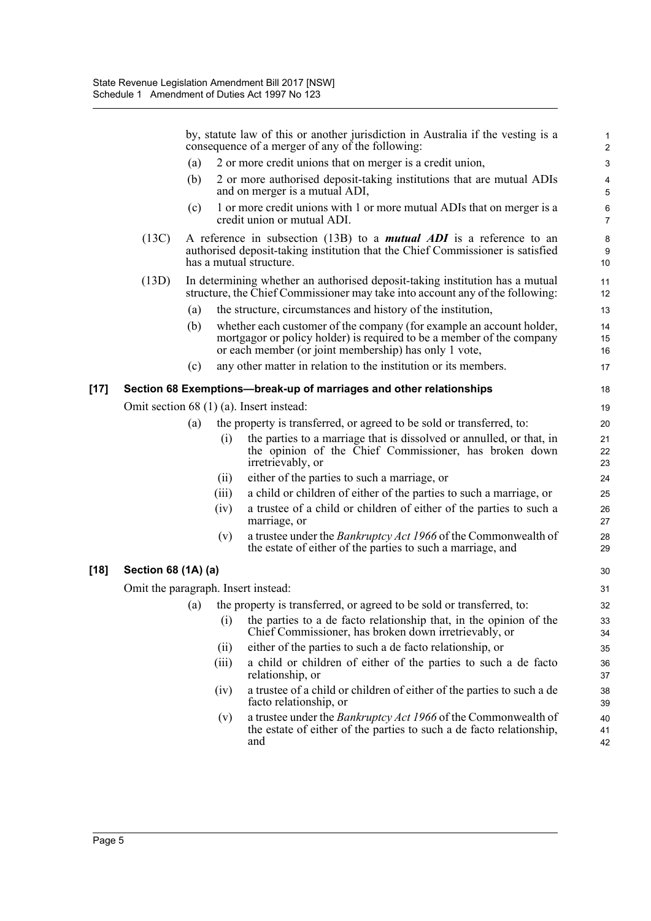|        |                                     |                                          |       | by, statute law of this or another jurisdiction in Australia if the vesting is a<br>consequence of a merger of any of the following:                                                                   | $\mathbf{1}$<br>$\overline{2}$ |  |
|--------|-------------------------------------|------------------------------------------|-------|--------------------------------------------------------------------------------------------------------------------------------------------------------------------------------------------------------|--------------------------------|--|
|        |                                     | (a)                                      |       | 2 or more credit unions that on merger is a credit union,                                                                                                                                              | 3                              |  |
|        |                                     | (b)                                      |       | 2 or more authorised deposit-taking institutions that are mutual ADIs<br>and on merger is a mutual ADI,                                                                                                | 4<br>5                         |  |
|        |                                     | (c)                                      |       | 1 or more credit unions with 1 or more mutual ADIs that on merger is a<br>credit union or mutual ADI.                                                                                                  | 6<br>$\overline{7}$            |  |
|        | (13C)                               |                                          |       | A reference in subsection (13B) to a <i>mutual ADI</i> is a reference to an<br>authorised deposit-taking institution that the Chief Commissioner is satisfied<br>has a mutual structure.               | 8<br>9<br>10                   |  |
|        | (13D)                               |                                          |       | In determining whether an authorised deposit-taking institution has a mutual<br>structure, the Chief Commissioner may take into account any of the following:                                          | 11<br>12                       |  |
|        |                                     | (a)                                      |       | the structure, circumstances and history of the institution,                                                                                                                                           | 13                             |  |
|        |                                     | (b)                                      |       | whether each customer of the company (for example an account holder,<br>mortgagor or policy holder) is required to be a member of the company<br>or each member (or joint membership) has only 1 vote, | 14<br>15<br>16                 |  |
|        |                                     | (c)                                      |       | any other matter in relation to the institution or its members.                                                                                                                                        | 17                             |  |
| $[17]$ |                                     |                                          |       | Section 68 Exemptions—break-up of marriages and other relationships                                                                                                                                    | 18                             |  |
|        |                                     | Omit section 68 (1) (a). Insert instead: |       |                                                                                                                                                                                                        |                                |  |
|        |                                     | (a)                                      |       | the property is transferred, or agreed to be sold or transferred, to:                                                                                                                                  | 20                             |  |
|        |                                     |                                          | (i)   | the parties to a marriage that is dissolved or annulled, or that, in<br>the opinion of the Chief Commissioner, has broken down<br>irretrievably, or                                                    | 21<br>22<br>23                 |  |
|        |                                     |                                          | (ii)  | either of the parties to such a marriage, or                                                                                                                                                           | 24                             |  |
|        |                                     |                                          | (iii) | a child or children of either of the parties to such a marriage, or                                                                                                                                    | 25                             |  |
|        |                                     |                                          | (iv)  | a trustee of a child or children of either of the parties to such a<br>marriage, or                                                                                                                    | 26<br>27                       |  |
|        |                                     |                                          | (v)   | a trustee under the <i>Bankruptcy Act 1966</i> of the Commonwealth of<br>the estate of either of the parties to such a marriage, and                                                                   | 28<br>29                       |  |
| $[18]$ | Section 68 (1A) (a)                 |                                          |       |                                                                                                                                                                                                        | 30                             |  |
|        | Omit the paragraph. Insert instead: |                                          |       |                                                                                                                                                                                                        | 31                             |  |
|        |                                     | (a)                                      |       | the property is transferred, or agreed to be sold or transferred, to:                                                                                                                                  | 32                             |  |
|        |                                     |                                          | (i)   | the parties to a de facto relationship that, in the opinion of the<br>Chief Commissioner, has broken down irretrievably, or                                                                            | 33<br>34                       |  |
|        |                                     |                                          | (ii)  | either of the parties to such a de facto relationship, or                                                                                                                                              | 35                             |  |
|        |                                     |                                          | (iii) | a child or children of either of the parties to such a de facto<br>relationship, or                                                                                                                    | 36<br>37                       |  |
|        |                                     |                                          | (iv)  | a trustee of a child or children of either of the parties to such a de<br>facto relationship, or                                                                                                       | 38<br>39                       |  |
|        |                                     |                                          | (v)   | a trustee under the Bankruptcy Act 1966 of the Commonwealth of<br>the estate of either of the parties to such a de facto relationship,                                                                 | 40<br>41                       |  |

42

and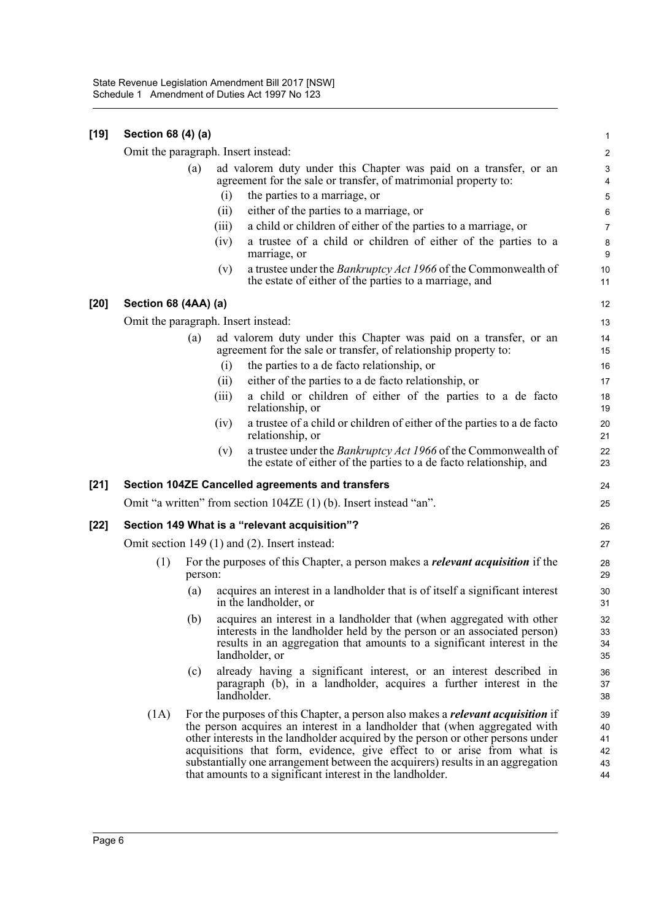| [19] | Section 68 (4) (a)                            |         |                                                                                                                                                                                                                                                                                                                                                                                                                                                                                  |                                  |  |  |
|------|-----------------------------------------------|---------|----------------------------------------------------------------------------------------------------------------------------------------------------------------------------------------------------------------------------------------------------------------------------------------------------------------------------------------------------------------------------------------------------------------------------------------------------------------------------------|----------------------------------|--|--|
|      |                                               |         | Omit the paragraph. Insert instead:                                                                                                                                                                                                                                                                                                                                                                                                                                              | $\overline{c}$                   |  |  |
|      |                                               | (a)     | ad valorem duty under this Chapter was paid on a transfer, or an<br>agreement for the sale or transfer, of matrimonial property to:                                                                                                                                                                                                                                                                                                                                              | $\mathsf 3$<br>$\overline{4}$    |  |  |
|      |                                               | (i)     | the parties to a marriage, or                                                                                                                                                                                                                                                                                                                                                                                                                                                    | 5                                |  |  |
|      |                                               | (ii)    | either of the parties to a marriage, or                                                                                                                                                                                                                                                                                                                                                                                                                                          | 6                                |  |  |
|      |                                               | (iii)   | a child or children of either of the parties to a marriage, or                                                                                                                                                                                                                                                                                                                                                                                                                   | $\overline{7}$                   |  |  |
|      |                                               | (iv)    | a trustee of a child or children of either of the parties to a<br>marriage, or                                                                                                                                                                                                                                                                                                                                                                                                   | 8<br>9                           |  |  |
|      |                                               | (v)     | a trustee under the <i>Bankruptcy Act 1966</i> of the Commonwealth of<br>the estate of either of the parties to a marriage, and                                                                                                                                                                                                                                                                                                                                                  | 10<br>11                         |  |  |
| [20] | Section 68 (4AA) (a)                          |         |                                                                                                                                                                                                                                                                                                                                                                                                                                                                                  | 12                               |  |  |
|      |                                               |         | Omit the paragraph. Insert instead:                                                                                                                                                                                                                                                                                                                                                                                                                                              | 13                               |  |  |
|      |                                               | (a)     | ad valorem duty under this Chapter was paid on a transfer, or an<br>agreement for the sale or transfer, of relationship property to:                                                                                                                                                                                                                                                                                                                                             | 14<br>15                         |  |  |
|      |                                               | (i)     | the parties to a de facto relationship, or                                                                                                                                                                                                                                                                                                                                                                                                                                       | 16                               |  |  |
|      |                                               | (i)     | either of the parties to a de facto relationship, or                                                                                                                                                                                                                                                                                                                                                                                                                             | 17                               |  |  |
|      |                                               | (iii)   | a child or children of either of the parties to a de facto<br>relationship, or                                                                                                                                                                                                                                                                                                                                                                                                   | 18<br>19                         |  |  |
|      |                                               | (iv)    | a trustee of a child or children of either of the parties to a de facto<br>relationship, or                                                                                                                                                                                                                                                                                                                                                                                      | 20<br>21                         |  |  |
|      |                                               | (v)     | a trustee under the <i>Bankruptcy Act 1966</i> of the Commonwealth of<br>the estate of either of the parties to a de facto relationship, and                                                                                                                                                                                                                                                                                                                                     | 22<br>23                         |  |  |
| [21] |                                               |         | <b>Section 104ZE Cancelled agreements and transfers</b>                                                                                                                                                                                                                                                                                                                                                                                                                          | 24                               |  |  |
|      |                                               |         | Omit "a written" from section 104ZE (1) (b). Insert instead "an".                                                                                                                                                                                                                                                                                                                                                                                                                | 25                               |  |  |
| [22] | Section 149 What is a "relevant acquisition"? |         |                                                                                                                                                                                                                                                                                                                                                                                                                                                                                  |                                  |  |  |
|      | Omit section 149 (1) and (2). Insert instead: |         |                                                                                                                                                                                                                                                                                                                                                                                                                                                                                  |                                  |  |  |
|      | (1)                                           | person: | For the purposes of this Chapter, a person makes a <i>relevant acquisition</i> if the                                                                                                                                                                                                                                                                                                                                                                                            | 28<br>29                         |  |  |
|      |                                               | (a)     | acquires an interest in a landholder that is of itself a significant interest<br>in the landholder, or                                                                                                                                                                                                                                                                                                                                                                           | 30<br>31                         |  |  |
|      |                                               |         | (b) acquires an interest in a landholder that (when aggregated with other<br>interests in the landholder held by the person or an associated person)<br>results in an aggregation that amounts to a significant interest in the<br>landholder, or                                                                                                                                                                                                                                | 32<br>33<br>34<br>35             |  |  |
|      |                                               | (c)     | already having a significant interest, or an interest described in<br>paragraph (b), in a landholder, acquires a further interest in the<br>landholder.                                                                                                                                                                                                                                                                                                                          | 36<br>37<br>38                   |  |  |
|      | (1A)                                          |         | For the purposes of this Chapter, a person also makes a <i>relevant acquisition</i> if<br>the person acquires an interest in a landholder that (when aggregated with<br>other interests in the landholder acquired by the person or other persons under<br>acquisitions that form, evidence, give effect to or arise from what is<br>substantially one arrangement between the acquirers) results in an aggregation<br>that amounts to a significant interest in the landholder. | 39<br>40<br>41<br>42<br>43<br>44 |  |  |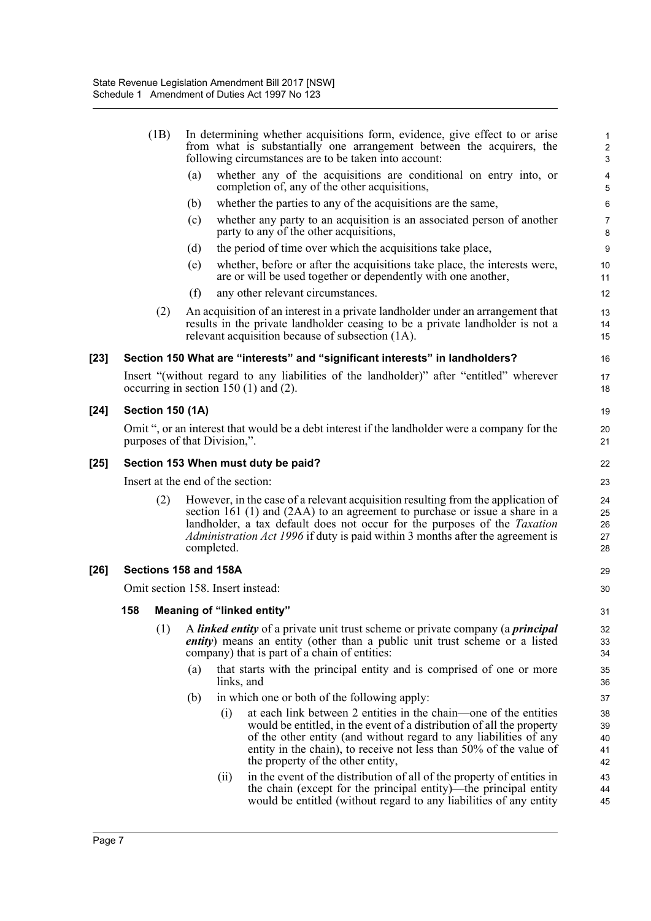|        |                                                                                                                                                                                                                                                                                                                                                                   | (1B)                    | In determining whether acquisitions form, evidence, give effect to or arise<br>from what is substantially one arrangement between the acquirers, the<br>following circumstances are to be taken into account: |                       |                                                                                                                                                                                                                                                                                                                           |                            |  |
|--------|-------------------------------------------------------------------------------------------------------------------------------------------------------------------------------------------------------------------------------------------------------------------------------------------------------------------------------------------------------------------|-------------------------|---------------------------------------------------------------------------------------------------------------------------------------------------------------------------------------------------------------|-----------------------|---------------------------------------------------------------------------------------------------------------------------------------------------------------------------------------------------------------------------------------------------------------------------------------------------------------------------|----------------------------|--|
|        |                                                                                                                                                                                                                                                                                                                                                                   |                         | (a)                                                                                                                                                                                                           |                       | whether any of the acquisitions are conditional on entry into, or<br>completion of, any of the other acquisitions,                                                                                                                                                                                                        | 4<br>5                     |  |
|        |                                                                                                                                                                                                                                                                                                                                                                   |                         | (b)                                                                                                                                                                                                           |                       | whether the parties to any of the acquisitions are the same,                                                                                                                                                                                                                                                              | 6                          |  |
|        |                                                                                                                                                                                                                                                                                                                                                                   |                         | (c)                                                                                                                                                                                                           |                       | whether any party to an acquisition is an associated person of another<br>party to any of the other acquisitions,                                                                                                                                                                                                         | $\overline{7}$<br>8        |  |
|        |                                                                                                                                                                                                                                                                                                                                                                   |                         | (d)                                                                                                                                                                                                           |                       | the period of time over which the acquisitions take place,                                                                                                                                                                                                                                                                | 9                          |  |
|        |                                                                                                                                                                                                                                                                                                                                                                   |                         | (e)                                                                                                                                                                                                           |                       | whether, before or after the acquisitions take place, the interests were,<br>are or will be used together or dependently with one another,                                                                                                                                                                                | 10<br>11                   |  |
|        |                                                                                                                                                                                                                                                                                                                                                                   |                         | (f)                                                                                                                                                                                                           |                       | any other relevant circumstances.                                                                                                                                                                                                                                                                                         | 12                         |  |
|        |                                                                                                                                                                                                                                                                                                                                                                   | (2)                     |                                                                                                                                                                                                               |                       | An acquisition of an interest in a private landholder under an arrangement that<br>results in the private landholder ceasing to be a private landholder is not a<br>relevant acquisition because of subsection (1A).                                                                                                      | 13<br>14<br>15             |  |
| $[23]$ |                                                                                                                                                                                                                                                                                                                                                                   |                         |                                                                                                                                                                                                               |                       | Section 150 What are "interests" and "significant interests" in landholders?                                                                                                                                                                                                                                              | 16                         |  |
|        |                                                                                                                                                                                                                                                                                                                                                                   |                         |                                                                                                                                                                                                               |                       | Insert "(without regard to any liabilities of the landholder)" after "entitled" wherever<br>occurring in section $150(1)$ and $(2)$ .                                                                                                                                                                                     | 17<br>18                   |  |
| $[24]$ |                                                                                                                                                                                                                                                                                                                                                                   | <b>Section 150 (1A)</b> |                                                                                                                                                                                                               |                       |                                                                                                                                                                                                                                                                                                                           | 19                         |  |
|        |                                                                                                                                                                                                                                                                                                                                                                   |                         | Omit ", or an interest that would be a debt interest if the landholder were a company for the<br>purposes of that Division,".                                                                                 |                       |                                                                                                                                                                                                                                                                                                                           |                            |  |
| $[25]$ | Section 153 When must duty be paid?                                                                                                                                                                                                                                                                                                                               |                         |                                                                                                                                                                                                               |                       |                                                                                                                                                                                                                                                                                                                           | 22                         |  |
|        | Insert at the end of the section:                                                                                                                                                                                                                                                                                                                                 |                         |                                                                                                                                                                                                               |                       |                                                                                                                                                                                                                                                                                                                           | 23                         |  |
|        | However, in the case of a relevant acquisition resulting from the application of<br>(2)<br>section 161 (1) and (2AA) to an agreement to purchase or issue a share in a<br>landholder, a tax default does not occur for the purposes of the <i>Taxation</i><br><i>Administration Act 1996</i> if duty is paid within 3 months after the agreement is<br>completed. |                         |                                                                                                                                                                                                               |                       |                                                                                                                                                                                                                                                                                                                           | 24<br>25<br>26<br>27<br>28 |  |
| $[26]$ |                                                                                                                                                                                                                                                                                                                                                                   |                         |                                                                                                                                                                                                               | Sections 158 and 158A |                                                                                                                                                                                                                                                                                                                           | 29                         |  |
|        |                                                                                                                                                                                                                                                                                                                                                                   |                         |                                                                                                                                                                                                               |                       | Omit section 158. Insert instead:                                                                                                                                                                                                                                                                                         | 30                         |  |
|        | 158                                                                                                                                                                                                                                                                                                                                                               |                         |                                                                                                                                                                                                               |                       | <b>Meaning of "linked entity"</b>                                                                                                                                                                                                                                                                                         | 31                         |  |
|        |                                                                                                                                                                                                                                                                                                                                                                   | (1)                     |                                                                                                                                                                                                               |                       | A <i>linked entity</i> of a private unit trust scheme or private company (a <i>principal</i><br><i>entity</i> ) means an entity (other than a public unit trust scheme or a listed<br>company) that is part of a chain of entities:                                                                                       | 32<br>33<br>34             |  |
|        |                                                                                                                                                                                                                                                                                                                                                                   |                         | (a)                                                                                                                                                                                                           | links, and            | that starts with the principal entity and is comprised of one or more                                                                                                                                                                                                                                                     | 35<br>36                   |  |
|        |                                                                                                                                                                                                                                                                                                                                                                   |                         | (b)                                                                                                                                                                                                           |                       | in which one or both of the following apply:                                                                                                                                                                                                                                                                              | 37                         |  |
|        |                                                                                                                                                                                                                                                                                                                                                                   |                         |                                                                                                                                                                                                               | (i)                   | at each link between 2 entities in the chain—one of the entities<br>would be entitled, in the event of a distribution of all the property<br>of the other entity (and without regard to any liabilities of any<br>entity in the chain), to receive not less than 50% of the value of<br>the property of the other entity, | 38<br>39<br>40<br>41<br>42 |  |
|        |                                                                                                                                                                                                                                                                                                                                                                   |                         |                                                                                                                                                                                                               | (ii)                  | in the event of the distribution of all of the property of entities in<br>the chain (except for the principal entity)—the principal entity<br>would be entitled (without regard to any liabilities of any entity                                                                                                          | 43<br>44<br>45             |  |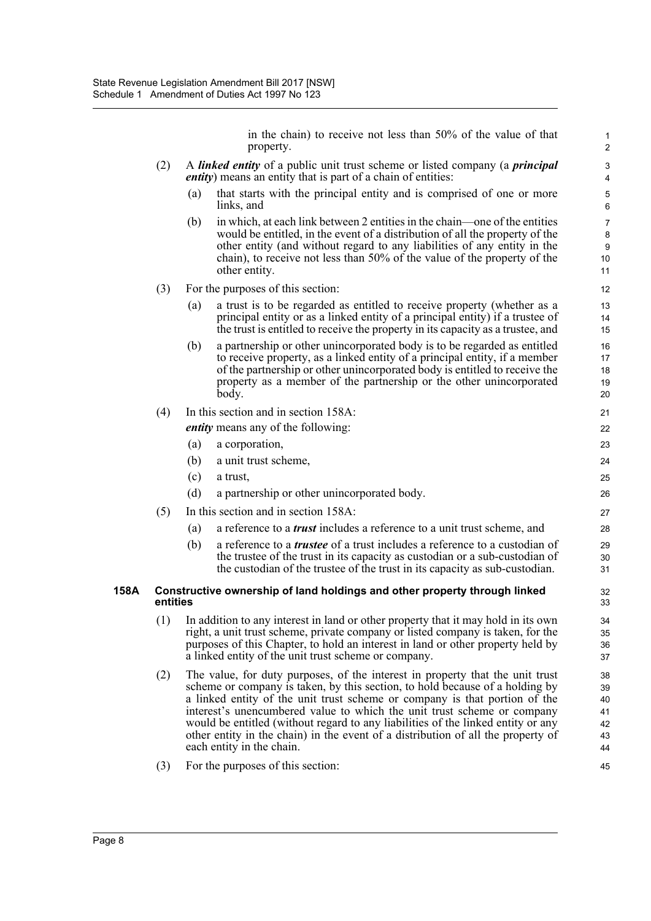in the chain) to receive not less than 50% of the value of that property.

- (2) A *linked entity* of a public unit trust scheme or listed company (a *principal entity*) means an entity that is part of a chain of entities:
	- (a) that starts with the principal entity and is comprised of one or more links, and
	- (b) in which, at each link between 2 entities in the chain—one of the entities would be entitled, in the event of a distribution of all the property of the other entity (and without regard to any liabilities of any entity in the chain), to receive not less than 50% of the value of the property of the other entity.
- (3) For the purposes of this section:
	- (a) a trust is to be regarded as entitled to receive property (whether as a principal entity or as a linked entity of a principal entity) if a trustee of the trust is entitled to receive the property in its capacity as a trustee, and
	- (b) a partnership or other unincorporated body is to be regarded as entitled to receive property, as a linked entity of a principal entity, if a member of the partnership or other unincorporated body is entitled to receive the property as a member of the partnership or the other unincorporated body.

## (4) In this section and in section 158A:

*entity* means any of the following:

- (a) a corporation,
- (b) a unit trust scheme,
- (c) a trust,
- (d) a partnership or other unincorporated body.
- (5) In this section and in section 158A:
	- (a) a reference to a *trust* includes a reference to a unit trust scheme, and
	- (b) a reference to a *trustee* of a trust includes a reference to a custodian of the trustee of the trust in its capacity as custodian or a sub-custodian of the custodian of the trustee of the trust in its capacity as sub-custodian.

#### **158A Constructive ownership of land holdings and other property through linked entities**

- (1) In addition to any interest in land or other property that it may hold in its own right, a unit trust scheme, private company or listed company is taken, for the purposes of this Chapter, to hold an interest in land or other property held by a linked entity of the unit trust scheme or company.
- (2) The value, for duty purposes, of the interest in property that the unit trust scheme or company is taken, by this section, to hold because of a holding by a linked entity of the unit trust scheme or company is that portion of the interest's unencumbered value to which the unit trust scheme or company would be entitled (without regard to any liabilities of the linked entity or any other entity in the chain) in the event of a distribution of all the property of each entity in the chain.
- (3) For the purposes of this section: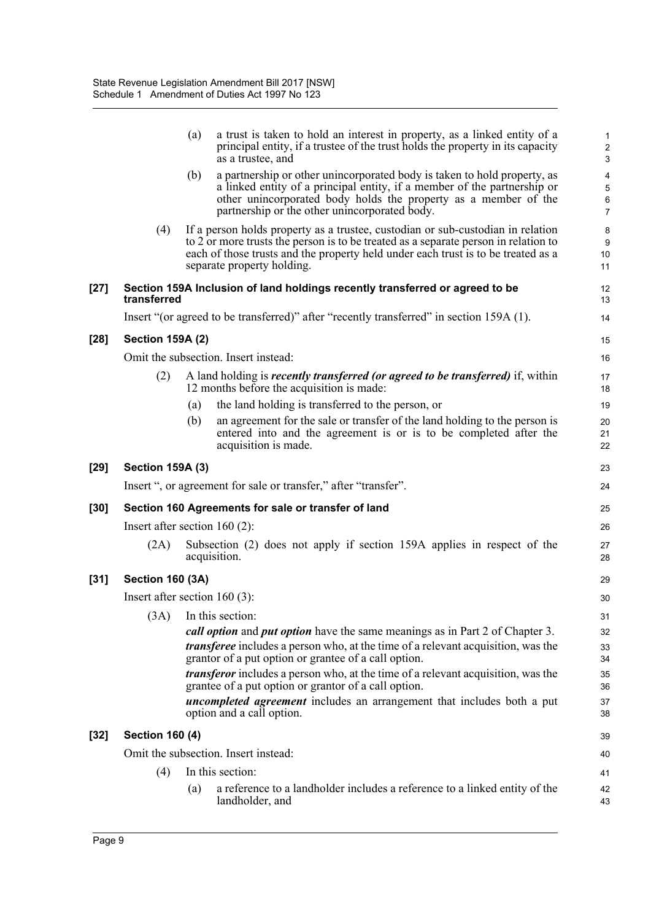|        |                                 | (a) | a trust is taken to hold an interest in property, as a linked entity of a<br>principal entity, if a trustee of the trust holds the property in its capacity<br>as a trustee, and                                                                                                                                                                                                                                                                                                                                          | $\mathbf{1}$<br>$\boldsymbol{2}$<br>3               |  |  |
|--------|---------------------------------|-----|---------------------------------------------------------------------------------------------------------------------------------------------------------------------------------------------------------------------------------------------------------------------------------------------------------------------------------------------------------------------------------------------------------------------------------------------------------------------------------------------------------------------------|-----------------------------------------------------|--|--|
|        |                                 | (b) | a partnership or other unincorporated body is taken to hold property, as<br>a linked entity of a principal entity, if a member of the partnership or<br>other unincorporated body holds the property as a member of the<br>partnership or the other unincorporated body.                                                                                                                                                                                                                                                  | $\overline{\mathbf{4}}$<br>5<br>6<br>$\overline{7}$ |  |  |
|        | (4)                             |     | If a person holds property as a trustee, custodian or sub-custodian in relation<br>to 2 or more trusts the person is to be treated as a separate person in relation to<br>each of those trusts and the property held under each trust is to be treated as a<br>separate property holding.                                                                                                                                                                                                                                 | 8<br>9<br>10<br>11                                  |  |  |
| $[27]$ | transferred                     |     | Section 159A Inclusion of land holdings recently transferred or agreed to be                                                                                                                                                                                                                                                                                                                                                                                                                                              | 12<br>13                                            |  |  |
|        |                                 |     | Insert "(or agreed to be transferred)" after "recently transferred" in section 159A (1).                                                                                                                                                                                                                                                                                                                                                                                                                                  | 14                                                  |  |  |
| [28]   | <b>Section 159A (2)</b>         |     |                                                                                                                                                                                                                                                                                                                                                                                                                                                                                                                           | 15                                                  |  |  |
|        |                                 |     | Omit the subsection. Insert instead:                                                                                                                                                                                                                                                                                                                                                                                                                                                                                      | 16                                                  |  |  |
|        | (2)                             |     | A land holding is <i>recently transferred (or agreed to be transferred)</i> if, within<br>12 months before the acquisition is made:                                                                                                                                                                                                                                                                                                                                                                                       | 17<br>18                                            |  |  |
|        |                                 | (a) | the land holding is transferred to the person, or                                                                                                                                                                                                                                                                                                                                                                                                                                                                         | 19                                                  |  |  |
|        |                                 | (b) | an agreement for the sale or transfer of the land holding to the person is<br>entered into and the agreement is or is to be completed after the<br>acquisition is made.                                                                                                                                                                                                                                                                                                                                                   | 20<br>21<br>22                                      |  |  |
| [29]   | <b>Section 159A (3)</b>         |     |                                                                                                                                                                                                                                                                                                                                                                                                                                                                                                                           | 23                                                  |  |  |
|        |                                 |     | Insert ", or agreement for sale or transfer," after "transfer".                                                                                                                                                                                                                                                                                                                                                                                                                                                           | 24                                                  |  |  |
| [30]   |                                 |     | Section 160 Agreements for sale or transfer of land                                                                                                                                                                                                                                                                                                                                                                                                                                                                       | 25                                                  |  |  |
|        | Insert after section $160(2)$ : |     |                                                                                                                                                                                                                                                                                                                                                                                                                                                                                                                           | 26                                                  |  |  |
|        | (2A)                            |     | Subsection (2) does not apply if section 159A applies in respect of the<br>acquisition.                                                                                                                                                                                                                                                                                                                                                                                                                                   | 27<br>28                                            |  |  |
| [31]   | <b>Section 160 (3A)</b>         |     |                                                                                                                                                                                                                                                                                                                                                                                                                                                                                                                           | 29                                                  |  |  |
|        | Insert after section $160(3)$ : |     |                                                                                                                                                                                                                                                                                                                                                                                                                                                                                                                           | 30                                                  |  |  |
|        |                                 |     | (3A) In this section:<br>call option and put option have the same meanings as in Part 2 of Chapter 3.<br><i>transferee</i> includes a person who, at the time of a relevant acquisition, was the<br>grantor of a put option or grantee of a call option.<br><i>transferor</i> includes a person who, at the time of a relevant acquisition, was the<br>grantee of a put option or grantor of a call option.<br><i>uncompleted agreement</i> includes an arrangement that includes both a put<br>option and a call option. | 31<br>32<br>33<br>34<br>35<br>36<br>37<br>38        |  |  |
| [32]   | <b>Section 160 (4)</b>          |     |                                                                                                                                                                                                                                                                                                                                                                                                                                                                                                                           |                                                     |  |  |
|        |                                 |     | Omit the subsection. Insert instead:                                                                                                                                                                                                                                                                                                                                                                                                                                                                                      | 40                                                  |  |  |
|        | (4)                             |     | In this section:                                                                                                                                                                                                                                                                                                                                                                                                                                                                                                          | 41                                                  |  |  |
|        |                                 | (a) | a reference to a landholder includes a reference to a linked entity of the<br>landholder, and                                                                                                                                                                                                                                                                                                                                                                                                                             | 42<br>43                                            |  |  |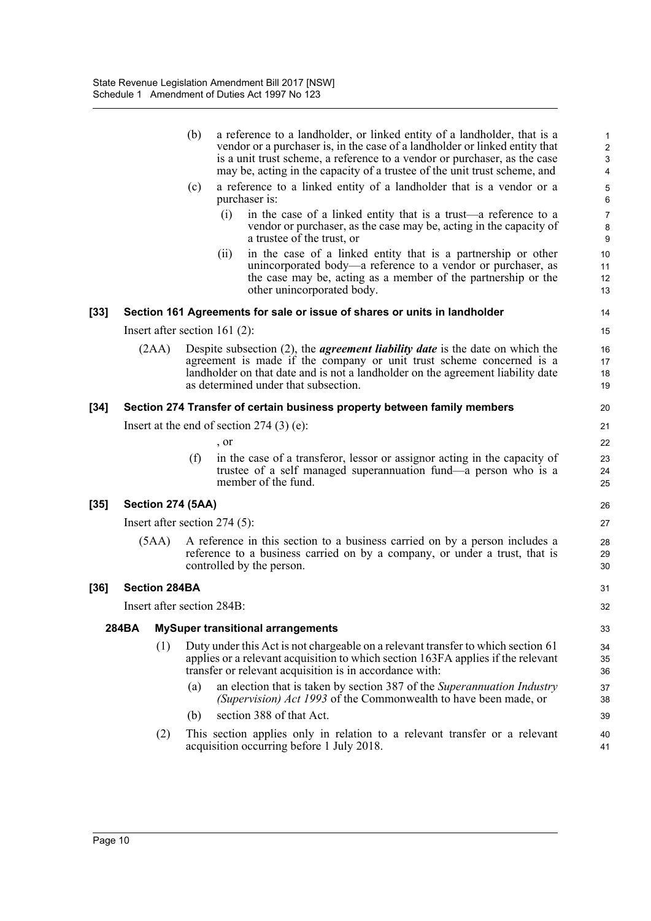|      |       |                      | (b) | a reference to a landholder, or linked entity of a landholder, that is a<br>vendor or a purchaser is, in the case of a landholder or linked entity that<br>is a unit trust scheme, a reference to a vendor or purchaser, as the case<br>may be, acting in the capacity of a trustee of the unit trust scheme, and | $\mathbf{1}$<br>2<br>$\mathsf 3$<br>$\overline{\mathbf{4}}$ |
|------|-------|----------------------|-----|-------------------------------------------------------------------------------------------------------------------------------------------------------------------------------------------------------------------------------------------------------------------------------------------------------------------|-------------------------------------------------------------|
|      |       |                      | (c) | a reference to a linked entity of a landholder that is a vendor or a<br>purchaser is:                                                                                                                                                                                                                             | 5<br>6                                                      |
|      |       |                      |     | (i)<br>in the case of a linked entity that is a trust—a reference to a<br>vendor or purchaser, as the case may be, acting in the capacity of<br>a trustee of the trust, or                                                                                                                                        | $\boldsymbol{7}$<br>8<br>9                                  |
|      |       |                      |     | in the case of a linked entity that is a partnership or other<br>(ii)<br>unincorporated body—a reference to a vendor or purchaser, as<br>the case may be, acting as a member of the partnership or the<br>other unincorporated body.                                                                              | 10<br>11<br>12<br>13                                        |
| [33] |       |                      |     | Section 161 Agreements for sale or issue of shares or units in landholder                                                                                                                                                                                                                                         | 14                                                          |
|      |       |                      |     | Insert after section $161$ (2):                                                                                                                                                                                                                                                                                   | 15                                                          |
|      |       | (2AA)                |     | Despite subsection $(2)$ , the <i>agreement liability date</i> is the date on which the<br>agreement is made if the company or unit trust scheme concerned is a<br>landholder on that date and is not a landholder on the agreement liability date<br>as determined under that subsection.                        | 16<br>17<br>18<br>19                                        |
| [34] |       |                      |     | Section 274 Transfer of certain business property between family members                                                                                                                                                                                                                                          | 20                                                          |
|      |       |                      |     | Insert at the end of section $274(3)$ (e):                                                                                                                                                                                                                                                                        | 21                                                          |
|      |       |                      |     | , or                                                                                                                                                                                                                                                                                                              | 22                                                          |
|      |       |                      | (f) | in the case of a transferor, lessor or assignor acting in the capacity of<br>trustee of a self managed superannuation fund—a person who is a<br>member of the fund.                                                                                                                                               | 23<br>24<br>25                                              |
| [35] |       | Section 274 (5AA)    |     |                                                                                                                                                                                                                                                                                                                   | 26                                                          |
|      |       |                      |     | Insert after section $274(5)$ :                                                                                                                                                                                                                                                                                   | 27                                                          |
|      |       | (5AA)                |     | A reference in this section to a business carried on by a person includes a<br>reference to a business carried on by a company, or under a trust, that is<br>controlled by the person.                                                                                                                            | 28<br>29<br>30                                              |
| [36] |       | <b>Section 284BA</b> |     |                                                                                                                                                                                                                                                                                                                   | 31                                                          |
|      |       |                      |     | Insert after section 284B:                                                                                                                                                                                                                                                                                        | 32                                                          |
|      | 284BA |                      |     | <b>MySuper transitional arrangements</b>                                                                                                                                                                                                                                                                          | 33                                                          |
|      |       | (1)                  |     | Duty under this Act is not chargeable on a relevant transfer to which section 61<br>applies or a relevant acquisition to which section 163FA applies if the relevant<br>transfer or relevant acquisition is in accordance with:                                                                                   | 34<br>35<br>36                                              |
|      |       |                      | (a) | an election that is taken by section 387 of the Superannuation Industry<br>(Supervision) Act 1993 of the Commonwealth to have been made, or                                                                                                                                                                       | 37<br>38                                                    |
|      |       |                      | (b) | section 388 of that Act.                                                                                                                                                                                                                                                                                          | 39                                                          |
|      |       | (2)                  |     | This section applies only in relation to a relevant transfer or a relevant<br>acquisition occurring before 1 July 2018.                                                                                                                                                                                           | 40<br>41                                                    |
|      |       |                      |     |                                                                                                                                                                                                                                                                                                                   |                                                             |

[35]

[36]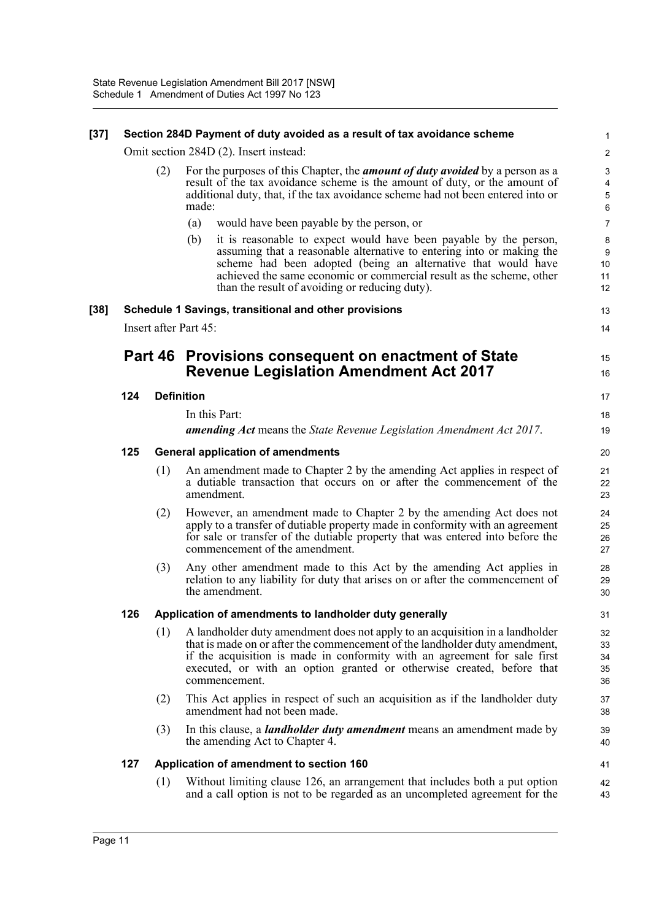#### **[37] Section 284D Payment of duty avoided as a result of tax avoidance scheme**

Omit section 284D (2). Insert instead:

(2) For the purposes of this Chapter, the *amount of duty avoided* by a person as a result of the tax avoidance scheme is the amount of duty, or the amount of additional duty, that, if the tax avoidance scheme had not been entered into or made:

13 14

15 16

17 18 19

- (a) would have been payable by the person, or
- (b) it is reasonable to expect would have been payable by the person, assuming that a reasonable alternative to entering into or making the scheme had been adopted (being an alternative that would have achieved the same economic or commercial result as the scheme, other than the result of avoiding or reducing duty).

#### **[38] Schedule 1 Savings, transitional and other provisions**

Insert after Part 45:

# **Part 46 Provisions consequent on enactment of State Revenue Legislation Amendment Act 2017**

#### **124 Definition**

In this Part: *amending Act* means the *State Revenue Legislation Amendment Act 2017*.

#### **125 General application of amendments**

- (1) An amendment made to Chapter 2 by the amending Act applies in respect of a dutiable transaction that occurs on or after the commencement of the amendment.
- (2) However, an amendment made to Chapter 2 by the amending Act does not apply to a transfer of dutiable property made in conformity with an agreement for sale or transfer of the dutiable property that was entered into before the commencement of the amendment.
- (3) Any other amendment made to this Act by the amending Act applies in relation to any liability for duty that arises on or after the commencement of the amendment.

#### **126 Application of amendments to landholder duty generally**

- (1) A landholder duty amendment does not apply to an acquisition in a landholder that is made on or after the commencement of the landholder duty amendment, if the acquisition is made in conformity with an agreement for sale first executed, or with an option granted or otherwise created, before that commencement.
- (2) This Act applies in respect of such an acquisition as if the landholder duty amendment had not been made.
- (3) In this clause, a *landholder duty amendment* means an amendment made by the amending Act to Chapter 4.

#### **127 Application of amendment to section 160**

(1) Without limiting clause 126, an arrangement that includes both a put option and a call option is not to be regarded as an uncompleted agreement for the 42 43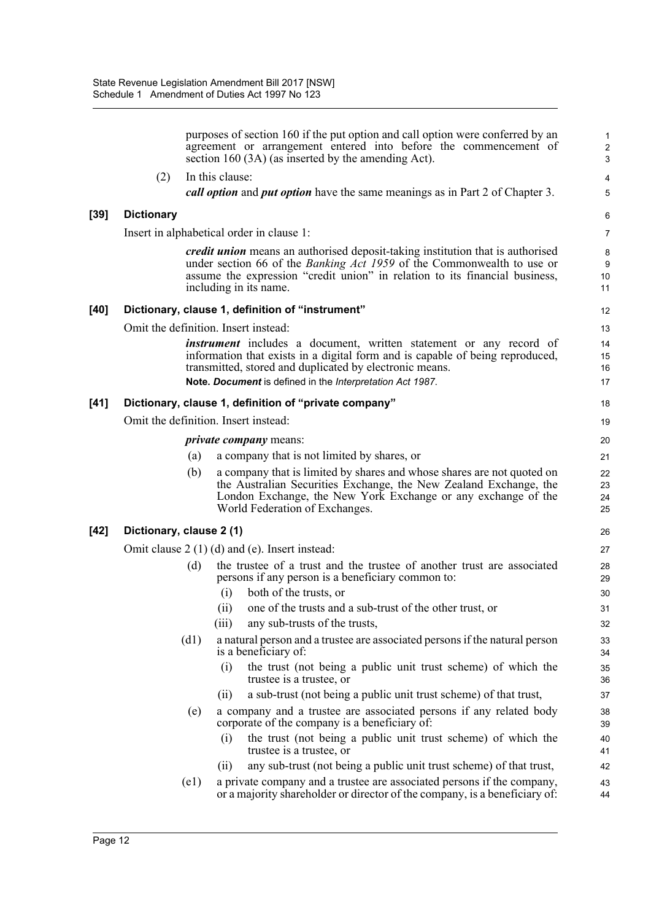|        |                                      |                 | purposes of section 160 if the put option and call option were conferred by an<br>agreement or arrangement entered into before the commencement of<br>section 160 (3A) (as inserted by the amending Act).                                                                          | 1<br>$\boldsymbol{2}$<br>3 |
|--------|--------------------------------------|-----------------|------------------------------------------------------------------------------------------------------------------------------------------------------------------------------------------------------------------------------------------------------------------------------------|----------------------------|
|        | (2)                                  | In this clause: |                                                                                                                                                                                                                                                                                    | $\overline{\mathbf{4}}$    |
|        |                                      |                 | call option and put option have the same meanings as in Part 2 of Chapter 3.                                                                                                                                                                                                       | 5                          |
| $[39]$ | <b>Dictionary</b>                    |                 |                                                                                                                                                                                                                                                                                    | 6                          |
|        |                                      |                 | Insert in alphabetical order in clause 1:                                                                                                                                                                                                                                          | $\overline{7}$             |
|        |                                      |                 | credit union means an authorised deposit-taking institution that is authorised<br>under section 66 of the <i>Banking Act 1959</i> of the Commonwealth to use or<br>assume the expression "credit union" in relation to its financial business,<br>including in its name.           | 8<br>9<br>10<br>11         |
| $[40]$ |                                      |                 | Dictionary, clause 1, definition of "instrument"                                                                                                                                                                                                                                   | 12                         |
|        | Omit the definition. Insert instead: |                 |                                                                                                                                                                                                                                                                                    | 13                         |
|        |                                      |                 | <i>instrument</i> includes a document, written statement or any record of<br>information that exists in a digital form and is capable of being reproduced,<br>transmitted, stored and duplicated by electronic means.<br>Note. Document is defined in the Interpretation Act 1987. | 14<br>15<br>16<br>17       |
| $[41]$ |                                      |                 | Dictionary, clause 1, definition of "private company"                                                                                                                                                                                                                              | 18                         |
|        | Omit the definition. Insert instead: |                 |                                                                                                                                                                                                                                                                                    | 19                         |
|        |                                      |                 | <i>private company</i> means:                                                                                                                                                                                                                                                      | 20                         |
|        |                                      | (a)             | a company that is not limited by shares, or                                                                                                                                                                                                                                        | 21                         |
|        |                                      | (b)             | a company that is limited by shares and whose shares are not quoted on<br>the Australian Securities Exchange, the New Zealand Exchange, the<br>London Exchange, the New York Exchange or any exchange of the<br>World Federation of Exchanges.                                     | 22<br>23<br>24<br>25       |
| $[42]$ | Dictionary, clause 2 (1)             |                 |                                                                                                                                                                                                                                                                                    | 26                         |
|        |                                      |                 | Omit clause $2(1)(d)$ and (e). Insert instead:                                                                                                                                                                                                                                     | 27                         |
|        |                                      | (d)<br>(i)      | the trustee of a trust and the trustee of another trust are associated<br>persons if any person is a beneficiary common to:<br>both of the trusts, or                                                                                                                              | 28<br>29<br>30             |
|        |                                      | (ii)            | one of the trusts and a sub-trust of the other trust, or                                                                                                                                                                                                                           | 31                         |
|        |                                      | (iii)           | any sub-trusts of the trusts,                                                                                                                                                                                                                                                      | 32                         |
|        |                                      | (d1)            | a natural person and a trustee are associated persons if the natural person<br>is a beneficiary of:                                                                                                                                                                                | 33<br>34                   |
|        |                                      | (i)             | the trust (not being a public unit trust scheme) of which the<br>trustee is a trustee, or                                                                                                                                                                                          | 35<br>36                   |
|        |                                      | (ii)            | a sub-trust (not being a public unit trust scheme) of that trust,                                                                                                                                                                                                                  | 37                         |
|        |                                      | (e)             | a company and a trustee are associated persons if any related body<br>corporate of the company is a beneficiary of:                                                                                                                                                                | 38<br>39                   |
|        |                                      | (i)             | the trust (not being a public unit trust scheme) of which the<br>trustee is a trustee, or                                                                                                                                                                                          | 40<br>41                   |
|        |                                      | (i)             | any sub-trust (not being a public unit trust scheme) of that trust,                                                                                                                                                                                                                | 42                         |
|        |                                      | (e1)            | a private company and a trustee are associated persons if the company,<br>or a majority shareholder or director of the company, is a beneficiary of:                                                                                                                               | 43<br>44                   |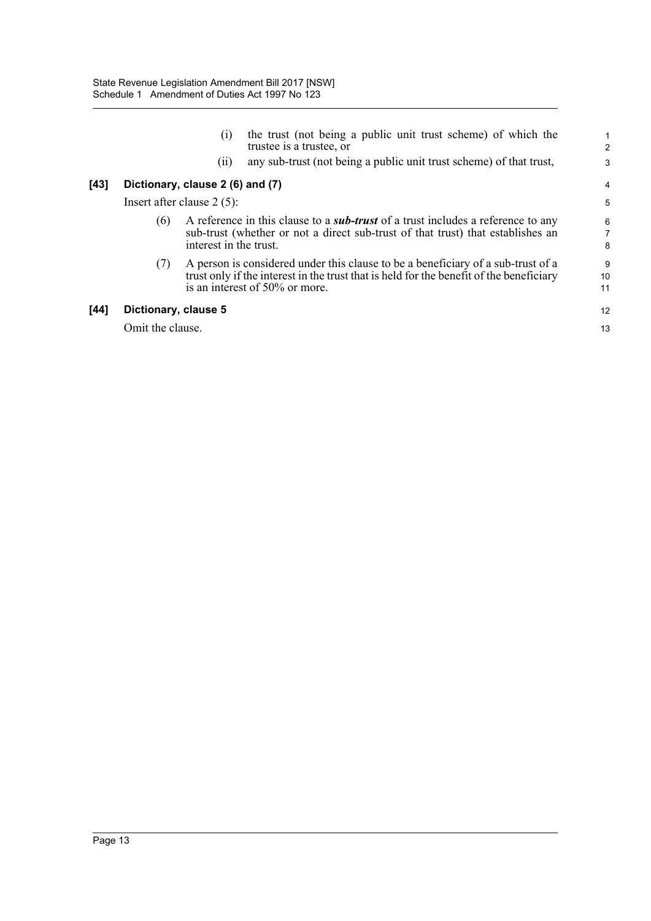|        |                      | (i)<br>(ii)                                                                                                                                                                                          | the trust (not being a public unit trust scheme) of which the<br>trustee is a trustee, or<br>any sub-trust (not being a public unit trust scheme) of that trust,                                              | $\overline{c}$<br>3 |
|--------|----------------------|------------------------------------------------------------------------------------------------------------------------------------------------------------------------------------------------------|---------------------------------------------------------------------------------------------------------------------------------------------------------------------------------------------------------------|---------------------|
| $[43]$ |                      | Dictionary, clause 2 (6) and (7)                                                                                                                                                                     |                                                                                                                                                                                                               | 4                   |
|        |                      | Insert after clause $2(5)$ :                                                                                                                                                                         |                                                                                                                                                                                                               | 5                   |
|        | (6)                  | A reference in this clause to a <i>sub-trust</i> of a trust includes a reference to any<br>sub-trust (whether or not a direct sub-trust of that trust) that establishes an<br>interest in the trust. |                                                                                                                                                                                                               |                     |
|        | (7)                  |                                                                                                                                                                                                      | A person is considered under this clause to be a beneficiary of a sub-trust of a<br>trust only if the interest in the trust that is held for the benefit of the beneficiary<br>is an interest of 50% or more. | 9<br>10<br>11       |
| $[44]$ | Dictionary, clause 5 |                                                                                                                                                                                                      |                                                                                                                                                                                                               | 12                  |
|        | Omit the clause.     |                                                                                                                                                                                                      |                                                                                                                                                                                                               | 13                  |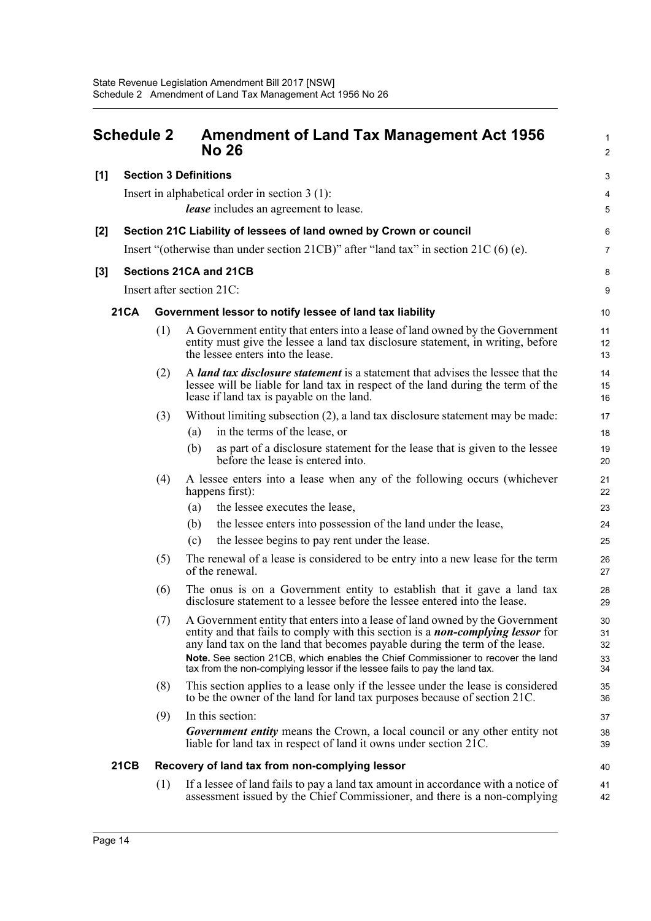<span id="page-20-0"></span>

| <b>Schedule 2</b> |             |     | <b>Amendment of Land Tax Management Act 1956</b><br><b>No 26</b> |                                                                                                                                                                                                                                                                                                                                                                                                                         |                            |
|-------------------|-------------|-----|------------------------------------------------------------------|-------------------------------------------------------------------------------------------------------------------------------------------------------------------------------------------------------------------------------------------------------------------------------------------------------------------------------------------------------------------------------------------------------------------------|----------------------------|
| $[1]$             |             |     | <b>Section 3 Definitions</b>                                     |                                                                                                                                                                                                                                                                                                                                                                                                                         | 3                          |
|                   |             |     | Insert in alphabetical order in section $3(1)$ :                 |                                                                                                                                                                                                                                                                                                                                                                                                                         | 4                          |
|                   |             |     | <i>lease</i> includes an agreement to lease.                     |                                                                                                                                                                                                                                                                                                                                                                                                                         | 5                          |
| $[2]$             |             |     |                                                                  | Section 21C Liability of lessees of land owned by Crown or council                                                                                                                                                                                                                                                                                                                                                      | 6                          |
|                   |             |     |                                                                  | Insert "(otherwise than under section 21CB)" after "land tax" in section 21C $(6)$ (e).                                                                                                                                                                                                                                                                                                                                 | $\overline{7}$             |
| $[3]$             |             |     | Sections 21CA and 21CB                                           |                                                                                                                                                                                                                                                                                                                                                                                                                         | 8                          |
|                   |             |     | Insert after section 21C:                                        |                                                                                                                                                                                                                                                                                                                                                                                                                         | 9                          |
|                   | <b>21CA</b> |     | Government lessor to notify lessee of land tax liability         |                                                                                                                                                                                                                                                                                                                                                                                                                         | 10                         |
|                   |             | (1) | the lessee enters into the lease.                                | A Government entity that enters into a lease of land owned by the Government<br>entity must give the lessee a land tax disclosure statement, in writing, before                                                                                                                                                                                                                                                         | 11<br>12<br>13             |
|                   |             | (2) | lease if land tax is payable on the land.                        | A <i>land tax disclosure statement</i> is a statement that advises the lessee that the<br>lessee will be liable for land tax in respect of the land during the term of the                                                                                                                                                                                                                                              | 14<br>15<br>16             |
|                   |             | (3) |                                                                  | Without limiting subsection (2), a land tax disclosure statement may be made:                                                                                                                                                                                                                                                                                                                                           | 17                         |
|                   |             |     | in the terms of the lease, or<br>(a)                             |                                                                                                                                                                                                                                                                                                                                                                                                                         | 18                         |
|                   |             |     | (b)<br>before the lease is entered into.                         | as part of a disclosure statement for the lease that is given to the lessee                                                                                                                                                                                                                                                                                                                                             | 19<br>20                   |
|                   |             | (4) | happens first):                                                  | A lessee enters into a lease when any of the following occurs (whichever                                                                                                                                                                                                                                                                                                                                                | 21<br>22                   |
|                   |             |     | the lessee executes the lease,<br>(a)                            |                                                                                                                                                                                                                                                                                                                                                                                                                         | 23                         |
|                   |             |     | (b)                                                              | the lessee enters into possession of the land under the lease,                                                                                                                                                                                                                                                                                                                                                          | 24                         |
|                   |             |     | (c)                                                              | the lessee begins to pay rent under the lease.                                                                                                                                                                                                                                                                                                                                                                          | 25                         |
|                   |             | (5) | of the renewal.                                                  | The renewal of a lease is considered to be entry into a new lease for the term                                                                                                                                                                                                                                                                                                                                          | 26<br>27                   |
|                   |             | (6) |                                                                  | The onus is on a Government entity to establish that it gave a land tax<br>disclosure statement to a lessee before the lessee entered into the lease.                                                                                                                                                                                                                                                                   | 28<br>29                   |
|                   |             | (7) |                                                                  | A Government entity that enters into a lease of land owned by the Government<br>entity and that fails to comply with this section is a <i>non-complying lessor</i> for<br>any land tax on the land that becomes payable during the term of the lease.<br>Note. See section 21CB, which enables the Chief Commissioner to recover the land<br>tax from the non-complying lessor if the lessee fails to pay the land tax. | 30<br>31<br>32<br>33<br>34 |
|                   |             | (8) |                                                                  | This section applies to a lease only if the lessee under the lease is considered<br>to be the owner of the land for land tax purposes because of section 21C.                                                                                                                                                                                                                                                           | 35<br>36                   |
|                   |             | (9) | In this section:                                                 |                                                                                                                                                                                                                                                                                                                                                                                                                         | 37                         |
|                   |             |     |                                                                  | <b>Government entity</b> means the Crown, a local council or any other entity not<br>liable for land tax in respect of land it owns under section 21C.                                                                                                                                                                                                                                                                  | 38<br>39                   |
|                   | <b>21CB</b> |     | Recovery of land tax from non-complying lessor                   |                                                                                                                                                                                                                                                                                                                                                                                                                         | 40                         |
|                   |             | (1) |                                                                  | If a lessee of land fails to pay a land tax amount in accordance with a notice of<br>assessment issued by the Chief Commissioner, and there is a non-complying                                                                                                                                                                                                                                                          | 41<br>42                   |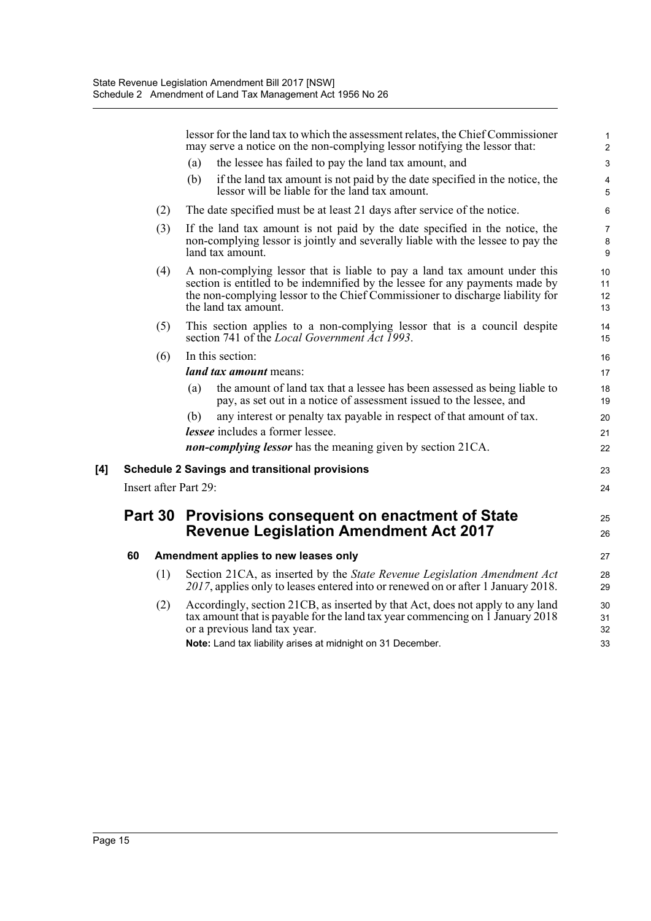|     |                                                                                                      |     | lessor for the land tax to which the assessment relates, the Chief Commissioner<br>may serve a notice on the non-complying lessor notifying the lessor that:                                                                                                       | $\mathbf{1}$<br>$\overline{2}$ |  |
|-----|------------------------------------------------------------------------------------------------------|-----|--------------------------------------------------------------------------------------------------------------------------------------------------------------------------------------------------------------------------------------------------------------------|--------------------------------|--|
|     |                                                                                                      |     | the lessee has failed to pay the land tax amount, and<br>(a)                                                                                                                                                                                                       | $\mathsf 3$                    |  |
|     |                                                                                                      |     | if the land tax amount is not paid by the date specified in the notice, the<br>(b)<br>lessor will be liable for the land tax amount.                                                                                                                               | 4<br>5                         |  |
|     |                                                                                                      | (2) | The date specified must be at least 21 days after service of the notice.                                                                                                                                                                                           | 6                              |  |
|     |                                                                                                      | (3) | If the land tax amount is not paid by the date specified in the notice, the<br>non-complying lessor is jointly and severally liable with the lessee to pay the<br>land tax amount.                                                                                 | $\overline{7}$<br>8<br>9       |  |
|     |                                                                                                      | (4) | A non-complying lessor that is liable to pay a land tax amount under this<br>section is entitled to be indemnified by the lessee for any payments made by<br>the non-complying lessor to the Chief Commissioner to discharge liability for<br>the land tax amount. | 10<br>11<br>12<br>13           |  |
|     |                                                                                                      | (5) | This section applies to a non-complying lessor that is a council despite<br>section 741 of the Local Government Act 1993.                                                                                                                                          | 14<br>15                       |  |
|     |                                                                                                      | (6) | In this section:                                                                                                                                                                                                                                                   | 16                             |  |
|     |                                                                                                      |     | land tax amount means:                                                                                                                                                                                                                                             | 17                             |  |
|     |                                                                                                      |     | the amount of land tax that a lessee has been assessed as being liable to<br>(a)<br>pay, as set out in a notice of assessment issued to the lessee, and                                                                                                            | 18<br>19                       |  |
|     |                                                                                                      |     | any interest or penalty tax payable in respect of that amount of tax.<br>(b)                                                                                                                                                                                       | 20                             |  |
|     |                                                                                                      |     | <i>lessee</i> includes a former lessee.                                                                                                                                                                                                                            | 21                             |  |
|     |                                                                                                      |     | <i>non-complying lessor</i> has the meaning given by section 21CA.                                                                                                                                                                                                 | 22                             |  |
| [4] | <b>Schedule 2 Savings and transitional provisions</b>                                                |     |                                                                                                                                                                                                                                                                    |                                |  |
|     | Insert after Part 29:                                                                                |     |                                                                                                                                                                                                                                                                    |                                |  |
|     | Part 30 Provisions consequent on enactment of State<br><b>Revenue Legislation Amendment Act 2017</b> |     |                                                                                                                                                                                                                                                                    | 25                             |  |
|     |                                                                                                      |     |                                                                                                                                                                                                                                                                    |                                |  |
|     | 60                                                                                                   |     | Amendment applies to new leases only                                                                                                                                                                                                                               | 27                             |  |
|     |                                                                                                      | (1) | Section 21CA, as inserted by the State Revenue Legislation Amendment Act<br>2017, applies only to leases entered into or renewed on or after 1 January 2018.                                                                                                       | 28<br>29                       |  |
|     |                                                                                                      | (2) | Accordingly, section 21CB, as inserted by that Act, does not apply to any land<br>tax amount that is payable for the land tax year commencing on 1 January 2018<br>or a previous land tax year.                                                                    | 30<br>31<br>32                 |  |
|     |                                                                                                      |     | Note: Land tax liability arises at midnight on 31 December.                                                                                                                                                                                                        | 33                             |  |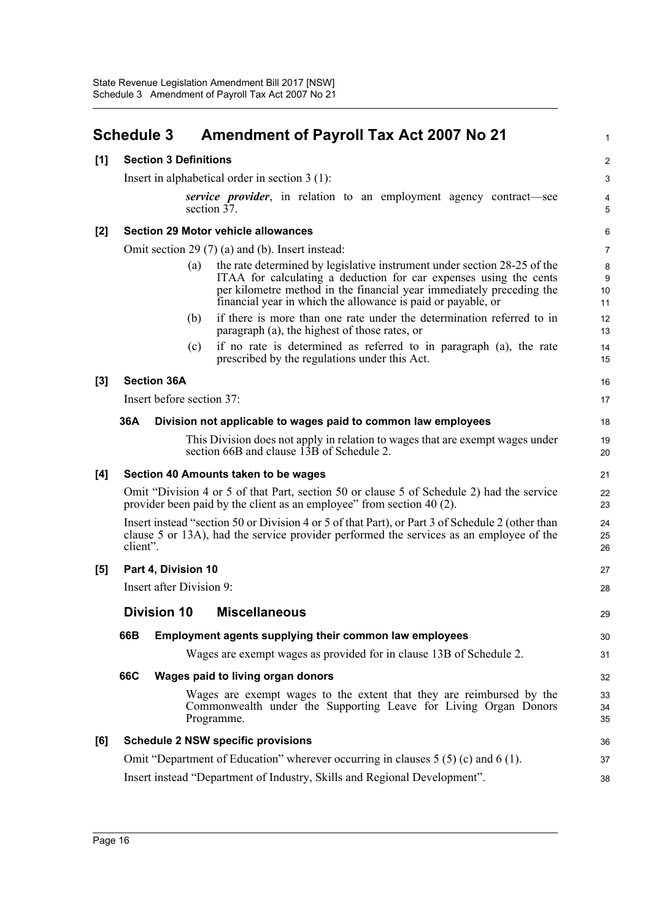<span id="page-22-0"></span>

|       | <b>Schedule 3</b>                                                                                                                                                                                       | <b>Amendment of Payroll Tax Act 2007 No 21</b>                                                                                                                                                                                                                                               | 1                      |  |  |  |
|-------|---------------------------------------------------------------------------------------------------------------------------------------------------------------------------------------------------------|----------------------------------------------------------------------------------------------------------------------------------------------------------------------------------------------------------------------------------------------------------------------------------------------|------------------------|--|--|--|
| [1]   | <b>Section 3 Definitions</b>                                                                                                                                                                            |                                                                                                                                                                                                                                                                                              | $\overline{2}$         |  |  |  |
|       | Insert in alphabetical order in section $3(1)$ :                                                                                                                                                        |                                                                                                                                                                                                                                                                                              |                        |  |  |  |
|       | <i>service provider</i> , in relation to an employment agency contract—see<br>section 37.                                                                                                               |                                                                                                                                                                                                                                                                                              |                        |  |  |  |
| $[2]$ |                                                                                                                                                                                                         | <b>Section 29 Motor vehicle allowances</b>                                                                                                                                                                                                                                                   | 6                      |  |  |  |
|       | Omit section 29 (7) (a) and (b). Insert instead:                                                                                                                                                        |                                                                                                                                                                                                                                                                                              |                        |  |  |  |
|       |                                                                                                                                                                                                         | the rate determined by legislative instrument under section 28-25 of the<br>(a)<br>ITAA for calculating a deduction for car expenses using the cents<br>per kilometre method in the financial year immediately preceding the<br>financial year in which the allowance is paid or payable, or | 8<br>$9\,$<br>10<br>11 |  |  |  |
|       |                                                                                                                                                                                                         | if there is more than one rate under the determination referred to in<br>(b)<br>paragraph (a), the highest of those rates, or                                                                                                                                                                | 12<br>13               |  |  |  |
|       |                                                                                                                                                                                                         | if no rate is determined as referred to in paragraph (a), the rate<br>(c)<br>prescribed by the regulations under this Act.                                                                                                                                                                   | 14<br>15               |  |  |  |
| $[3]$ | <b>Section 36A</b>                                                                                                                                                                                      |                                                                                                                                                                                                                                                                                              | 16                     |  |  |  |
|       | Insert before section 37:                                                                                                                                                                               |                                                                                                                                                                                                                                                                                              | 17                     |  |  |  |
|       | 36A                                                                                                                                                                                                     | Division not applicable to wages paid to common law employees                                                                                                                                                                                                                                | 18                     |  |  |  |
|       |                                                                                                                                                                                                         | This Division does not apply in relation to wages that are exempt wages under<br>section 66B and clause 13B of Schedule 2.                                                                                                                                                                   | 19<br>20               |  |  |  |
| [4]   |                                                                                                                                                                                                         | Section 40 Amounts taken to be wages                                                                                                                                                                                                                                                         | 21                     |  |  |  |
|       |                                                                                                                                                                                                         | Omit "Division 4 or 5 of that Part, section 50 or clause 5 of Schedule 2) had the service<br>provider been paid by the client as an employee" from section 40 (2).                                                                                                                           | 22<br>23               |  |  |  |
|       | Insert instead "section 50 or Division 4 or 5 of that Part), or Part 3 of Schedule 2 (other than<br>clause 5 or 13A), had the service provider performed the services as an employee of the<br>client". |                                                                                                                                                                                                                                                                                              |                        |  |  |  |
| [5]   | Part 4, Division 10                                                                                                                                                                                     |                                                                                                                                                                                                                                                                                              | 27                     |  |  |  |
|       | Insert after Division 9:                                                                                                                                                                                |                                                                                                                                                                                                                                                                                              | 28                     |  |  |  |
|       |                                                                                                                                                                                                         | <b>Division 10 Miscellaneous</b>                                                                                                                                                                                                                                                             | 29                     |  |  |  |
|       | 66B                                                                                                                                                                                                     | Employment agents supplying their common law employees                                                                                                                                                                                                                                       | 30                     |  |  |  |
|       |                                                                                                                                                                                                         | Wages are exempt wages as provided for in clause 13B of Schedule 2.                                                                                                                                                                                                                          | 31                     |  |  |  |
|       | 66C                                                                                                                                                                                                     | Wages paid to living organ donors                                                                                                                                                                                                                                                            | 32                     |  |  |  |
|       |                                                                                                                                                                                                         | Wages are exempt wages to the extent that they are reimbursed by the<br>Commonwealth under the Supporting Leave for Living Organ Donors<br>Programme.                                                                                                                                        | 33<br>34<br>35         |  |  |  |
| [6]   |                                                                                                                                                                                                         | <b>Schedule 2 NSW specific provisions</b>                                                                                                                                                                                                                                                    | 36                     |  |  |  |
|       |                                                                                                                                                                                                         | Omit "Department of Education" wherever occurring in clauses $5(5)$ (c) and $6(1)$ .                                                                                                                                                                                                         | 37                     |  |  |  |
|       | Insert instead "Department of Industry, Skills and Regional Development".                                                                                                                               |                                                                                                                                                                                                                                                                                              |                        |  |  |  |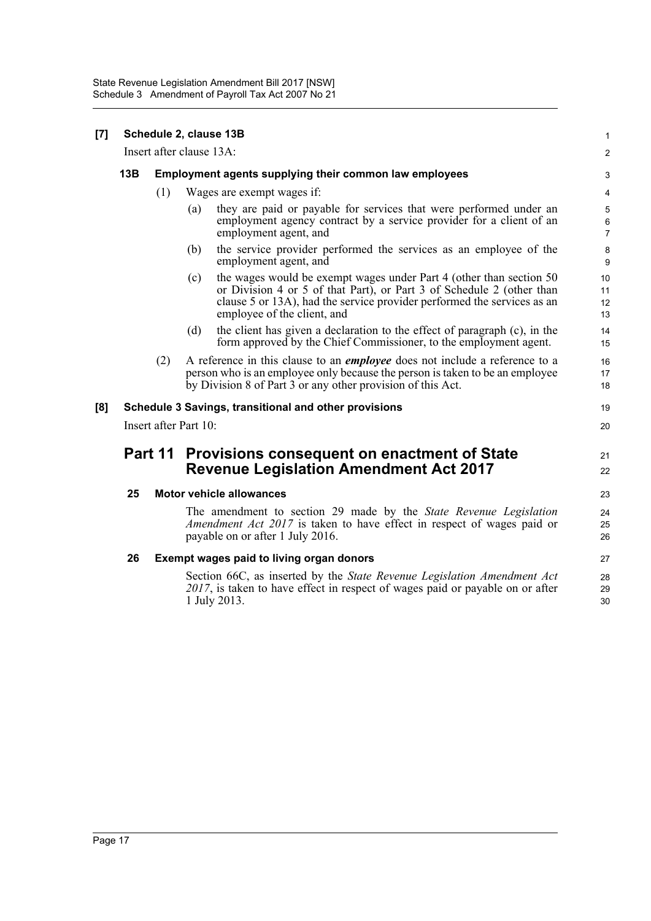| [7] | Schedule 2, clause 13B   |     |                                                                                                                                                                                                                                                                |                          |  |  |
|-----|--------------------------|-----|----------------------------------------------------------------------------------------------------------------------------------------------------------------------------------------------------------------------------------------------------------------|--------------------------|--|--|
|     | Insert after clause 13A: |     |                                                                                                                                                                                                                                                                |                          |  |  |
|     | 13B                      |     | Employment agents supplying their common law employees                                                                                                                                                                                                         |                          |  |  |
|     |                          | (1) | Wages are exempt wages if:                                                                                                                                                                                                                                     |                          |  |  |
|     |                          |     | they are paid or payable for services that were performed under an<br>(a)<br>employment agency contract by a service provider for a client of an<br>employment agent, and                                                                                      | 5<br>6<br>$\overline{7}$ |  |  |
|     |                          |     | the service provider performed the services as an employee of the<br>(b)<br>employment agent, and                                                                                                                                                              | 8<br>9                   |  |  |
|     |                          |     | the wages would be exempt wages under Part 4 (other than section 50)<br>(c)<br>or Division 4 or 5 of that Part), or Part 3 of Schedule 2 (other than<br>clause 5 or 13A), had the service provider performed the services as an<br>employee of the client, and | 10<br>11<br>12<br>13     |  |  |
|     |                          |     | the client has given a declaration to the effect of paragraph (c), in the<br>(d)<br>form approved by the Chief Commissioner, to the employment agent.                                                                                                          | 14<br>15                 |  |  |
|     |                          | (2) | A reference in this clause to an <i>employee</i> does not include a reference to a<br>person who is an employee only because the person is taken to be an employee<br>by Division 8 of Part 3 or any other provision of this Act.                              | 16<br>17<br>18           |  |  |
| [8] |                          |     | Schedule 3 Savings, transitional and other provisions                                                                                                                                                                                                          | 19                       |  |  |
|     | Insert after Part 10:    |     |                                                                                                                                                                                                                                                                |                          |  |  |
|     | Part 11                  |     | Provisions consequent on enactment of State<br><b>Revenue Legislation Amendment Act 2017</b>                                                                                                                                                                   | 21<br>22                 |  |  |
|     | 25                       |     | <b>Motor vehicle allowances</b>                                                                                                                                                                                                                                | 23                       |  |  |
|     |                          |     | The amendment to section 29 made by the State Revenue Legislation<br><i>Amendment Act 2017</i> is taken to have effect in respect of wages paid or<br>payable on or after 1 July 2016.                                                                         | 24<br>25<br>26           |  |  |
|     | 26                       |     | Exempt wages paid to living organ donors                                                                                                                                                                                                                       |                          |  |  |
|     |                          |     | Section 66C, as inserted by the State Revenue Legislation Amendment Act<br>2017, is taken to have effect in respect of wages paid or payable on or after<br>1 July 2013.                                                                                       | 28<br>29<br>30           |  |  |
|     |                          |     |                                                                                                                                                                                                                                                                |                          |  |  |